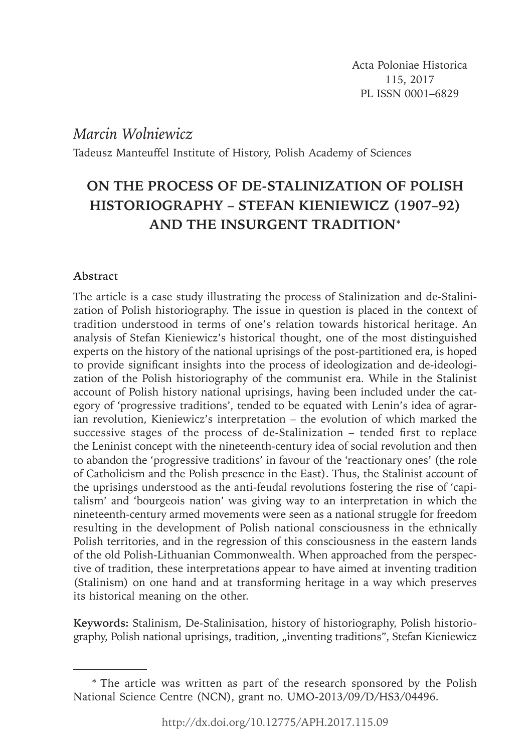# *Marcin Wolniewicz*

Tadeusz Manteuffel Institute of History, Polish Academy of Sciences

# **ON THE PROCESS OF DE-STALINIZATION OF POLISH HISTORIOGRAPHY – STEFAN KIENIEWICZ (1907–92) AND THE INSURGENT TRADITION**\*

# **Abstract**

The article is a case study illustrating the process of Stalinization and de-Stalinization of Polish historiography. The issue in question is placed in the context of tradition understood in terms of one's relation towards historical heritage. An analysis of Stefan Kieniewicz's historical thought, one of the most distinguished experts on the history of the national uprisings of the post-partitioned era, is hoped to provide significant insights into the process of ideologization and de-ideologization of the Polish historiography of the communist era. While in the Stalinist account of Polish history national uprisings, having been included under the category of 'progressive traditions', tended to be equated with Lenin's idea of agrarian revolution, Kieniewicz's interpretation – the evolution of which marked the successive stages of the process of de-Stalinization  $-$  tended first to replace the Leninist concept with the nineteenth-century idea of social revolution and then to abandon the 'progressive traditions' in favour of the 'reactionary ones' (the role of Catholicism and the Polish presence in the East). Thus, the Stalinist account of the uprisings understood as the anti-feudal revolutions fostering the rise of 'capitalism' and 'bourgeois nation' was giving way to an interpretation in which the nineteenth-century armed movements were seen as a national struggle for freedom resulting in the development of Polish national consciousness in the ethnically Polish territories, and in the regression of this consciousness in the eastern lands of the old Polish-Lithuanian Commonwealth. When approached from the perspective of tradition, these interpretations appear to have aimed at inventing tradition (Stalinism) on one hand and at transforming heritage in a way which preserves its historical meaning on the other.

**Keywords:** Stalinism, De-Stalinisation, history of historiography, Polish historiography, Polish national uprisings, tradition, "inventing traditions", Stefan Kieniewicz

<sup>\*</sup> The article was written as part of the research sponsored by the Polish National Science Centre (NCN), grant no. UMO-2013/09/D/HS3/04496.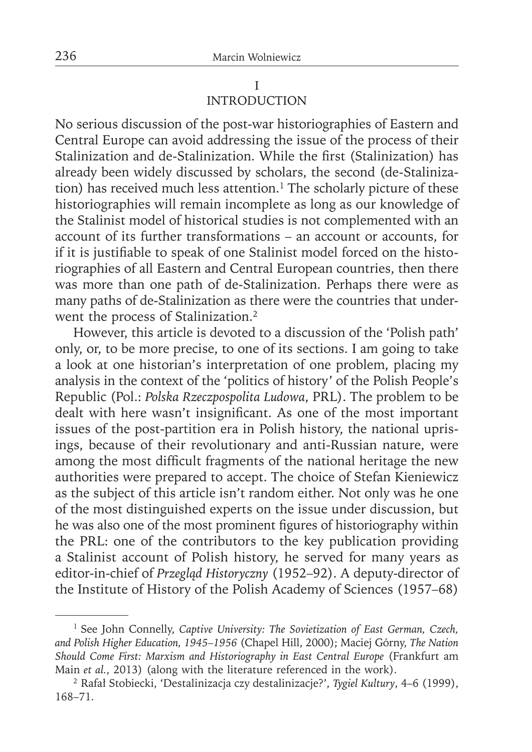# I INTRODUCTION

No serious discussion of the post-war historiographies of Eastern and Central Europe can avoid addressing the issue of the process of their Stalinization and de-Stalinization. While the first (Stalinization) has already been widely discussed by scholars, the second (de-Stalinization) has received much less attention.<sup>1</sup> The scholarly picture of these historiographies will remain incomplete as long as our knowledge of the Stalinist model of historical studies is not complemented with an account of its further transformations – an account or accounts, for if it is justifiable to speak of one Stalinist model forced on the historiographies of all Eastern and Central European countries, then there was more than one path of de-Stalinization. Perhaps there were as many paths of de-Stalinization as there were the countries that underwent the process of Stalinization.<sup>2</sup>

However, this article is devoted to a discussion of the 'Polish path' only, or, to be more precise, to one of its sections. I am going to take a look at one historian's interpretation of one problem, placing my analysis in the context of the 'politics of history' of the Polish People's Republic (Pol.: *Polska Rzeczpospolita Ludowa*, PRL). The problem to be dealt with here wasn't insignificant. As one of the most important issues of the post-partition era in Polish history, the national uprisings, because of their revolutionary and anti-Russian nature, were among the most difficult fragments of the national heritage the new authorities were prepared to accept. The choice of Stefan Kieniewicz as the subject of this article isn't random either. Not only was he one of the most distinguished experts on the issue under discussion, but he was also one of the most prominent figures of historiography within the PRL: one of the contributors to the key publication providing a Stalinist account of Polish history, he served for many years as editor-in-chief of *Przegląd Historyczny* (1952–92). A deputy-director of the Institute of History of the Polish Academy of Sciences (1957–68)

<sup>&</sup>lt;sup>1</sup> See John Connelly, *Captive University: The Sovietization of East German, Czech, and Polish Higher Education, 1945–1956* (Chapel Hill, 2000); Maciej Górny, *The Nation Should Come First: Marxism and Historiography in East Central Europe* (Frankfurt am Main *et al.*, 2013) (along with the literature referenced in the work).

<sup>2</sup> Rafał Stobiecki, 'Destalinizacja czy destalinizacje?', *Tygiel Kultury*, 4–6 (1999), 168–71.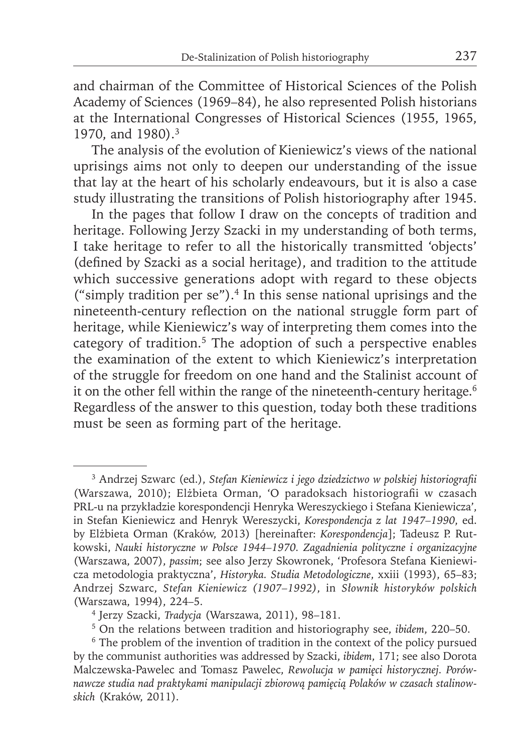and chairman of the Committee of Historical Sciences of the Polish Academy of Sciences (1969–84), he also represented Polish historians at the International Congresses of Historical Sciences (1955, 1965, 1970, and 1980).3

The analysis of the evolution of Kieniewicz's views of the national uprisings aims not only to deepen our understanding of the issue that lay at the heart of his scholarly endeavours, but it is also a case study illustrating the transitions of Polish historiography after 1945.

In the pages that follow I draw on the concepts of tradition and heritage. Following Jerzy Szacki in my understanding of both terms, I take heritage to refer to all the historically transmitted 'objects' (defined by Szacki as a social heritage), and tradition to the attitude which successive generations adopt with regard to these objects ("simply tradition per se"). $4$  In this sense national uprisings and the nineteenth-century reflection on the national struggle form part of heritage, while Kieniewicz's way of interpreting them comes into the category of tradition.<sup>5</sup> The adoption of such a perspective enables the examination of the extent to which Kieniewicz's interpretation of the struggle for freedom on one hand and the Stalinist account of it on the other fell within the range of the nineteenth-century heritage.<sup>6</sup> Regardless of the answer to this question, today both these traditions must be seen as forming part of the heritage.

<sup>3</sup> Andrzej Szwarc (ed.), *Stefan Kieniewicz i jego dziedzictwo w polskiej historiografi i*  (Warszawa, 2010); Elżbieta Orman, 'O paradoksach historiografi i w czasach PRL-u na przykładzie korespondencji Henryka Wereszyckiego i Stefana Kieniewicza', in Stefan Kieniewicz and Henryk Wereszycki, *Korespondencja z lat 1947–1990*, ed. by Elżbieta Orman (Kraków, 2013) [hereinafter: *Korespondencja*]; Tadeusz P. Rutkowski, *Nauki historyczne w Polsce 1944–1970. Zagadnienia polityczne i organizacyjne* (Warszawa, 2007), *passim*; see also Jerzy Skowronek, 'Profesora Stefana Kieniewicza metodologia praktyczna', *Historyka. Studia Metodologiczne*, xxiii (1993), 65–83; Andrzej Szwarc, *Stefan Kieniewicz (1907–1992)*, in *Słownik historyków polskich* (Warszawa, 1994), 224–5.

<sup>4</sup> Jerzy Szacki, *Tradycja* (Warszawa, 2011), 98–181.

<sup>5</sup> On the relations between tradition and historiography see, *ibidem*, 220–50.

<sup>&</sup>lt;sup>6</sup> The problem of the invention of tradition in the context of the policy pursued by the communist authorities was addressed by Szacki, *ibidem*, 171; see also Dorota Malczewska-Pawelec and Tomasz Pawelec, *Rewolucja w pamięci historycznej. Porównawcze studia nad praktykami manipulacji zbiorową pamięcią Polaków w czasach stalinowskich* (Kraków, 2011).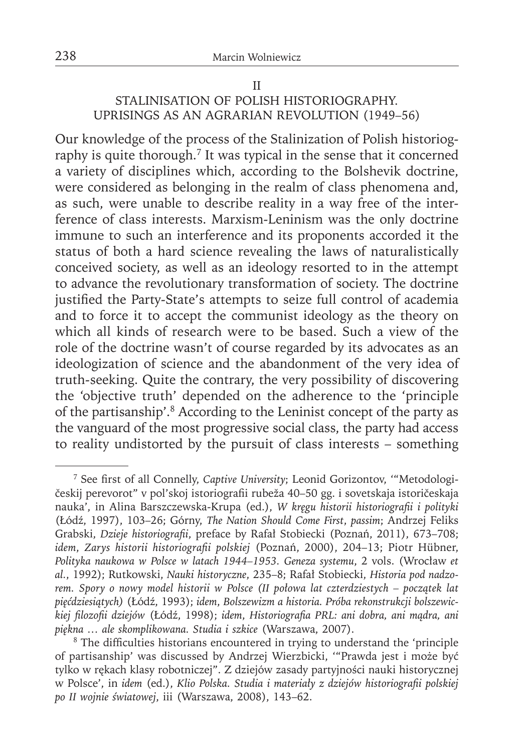# II STALINISATION OF POLISH HISTORIOGRAPHY. UPRISINGS AS AN AGRARIAN REVOLUTION (1949–56)

Our knowledge of the process of the Stalinization of Polish historiography is quite thorough.<sup>7</sup> It was typical in the sense that it concerned a variety of disciplines which, according to the Bolshevik doctrine, were considered as belonging in the realm of class phenomena and, as such, were unable to describe reality in a way free of the interference of class interests. Marxism-Leninism was the only doctrine immune to such an interference and its proponents accorded it the status of both a hard science revealing the laws of naturalistically conceived society, as well as an ideology resorted to in the attempt to advance the revolutionary transformation of society. The doctrine justified the Party-State's attempts to seize full control of academia and to force it to accept the communist ideology as the theory on which all kinds of research were to be based. Such a view of the role of the doctrine wasn't of course regarded by its advocates as an ideologization of science and the abandonment of the very idea of truth-seeking. Quite the contrary, the very possibility of discovering the 'objective truth' depended on the adherence to the 'principle of the partisanship'.8 According to the Leninist concept of the party as the vanguard of the most progressive social class, the party had access to reality undistorted by the pursuit of class interests – something

<sup>&</sup>lt;sup>7</sup> See first of all Connelly, *Captive University*; Leonid Gorizontov, "Metodologičeskij perevorot" v pol'skoj istoriografi i rubeža 40–50 gg. i sovetskaja istoričeskaja nauka', in Alina Barszczewska-Krupa (ed.), *W kręgu historii historiografi i i polityki* (Łódź, 1997), 103–26; Górny, *The Nation Should Come First*, *passim*; Andrzej Feliks Grabski, *Dzieje historiografii*, preface by Rafał Stobiecki (Poznań, 2011), 673-708; *idem*, *Zarys historii historiografi i polskiej* (Poznań, 2000), 204–13; Piotr Hübner, *Polityka naukowa w Polsce w latach 1944–1953. Geneza systemu*, 2 vols. (Wrocław *et al.*, 1992); Rutkowski, *Nauki historyczne*, 235–8; Rafał Stobiecki, *Historia pod nadzorem. Spory o nowy model historii w Polsce (II połowa lat czterdziestych – początek lat pięćdziesiątych)* (Łódź, 1993); *idem*, *Bolszewizm a historia. Próba rekonstrukcji bolszewickiej fi lozofi i dziejów* (Łódź, 1998); *idem*, *Historiografi a PRL: ani dobra, ani mądra, ani piękna … ale skomplikowana. Studia i szkice* (Warszawa, 2007).

<sup>&</sup>lt;sup>8</sup> The difficulties historians encountered in trying to understand the 'principle' of partisanship' was discussed by Andrzej Wierzbicki, '"Prawda jest i może być tylko w rękach klasy robotniczej". Z dziejów zasady partyjności nauki historycznej w Polsce', in *idem* (ed.), *Klio Polska. Studia i materiały z dziejów historiografi i polskiej po II wojnie światowej*, iii (Warszawa, 2008), 143–62.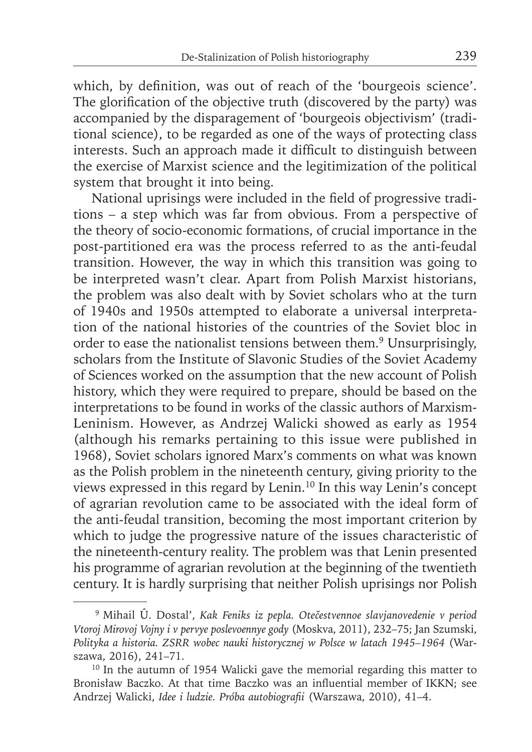which, by definition, was out of reach of the 'bourgeois science'. The glorification of the objective truth (discovered by the party) was accompanied by the disparagement of 'bourgeois objectivism' (traditional science), to be regarded as one of the ways of protecting class interests. Such an approach made it difficult to distinguish between the exercise of Marxist science and the legitimization of the political system that brought it into being.

National uprisings were included in the field of progressive traditions – a step which was far from obvious. From a perspective of the theory of socio-economic formations, of crucial importance in the post-partitioned era was the process referred to as the anti-feudal transition. However, the way in which this transition was going to be interpreted wasn't clear. Apart from Polish Marxist historians, the problem was also dealt with by Soviet scholars who at the turn of 1940s and 1950s attempted to elaborate a universal interpretation of the national histories of the countries of the Soviet bloc in order to ease the nationalist tensions between them.<sup>9</sup> Unsurprisingly, scholars from the Institute of Slavonic Studies of the Soviet Academy of Sciences worked on the assumption that the new account of Polish history, which they were required to prepare, should be based on the interpretations to be found in works of the classic authors of Marxism-Leninism. However, as Andrzej Walicki showed as early as 1954 (although his remarks pertaining to this issue were published in 1968), Soviet scholars ignored Marx's comments on what was known as the Polish problem in the nineteenth century, giving priority to the views expressed in this regard by Lenin.10 In this way Lenin's concept of agrarian revolution came to be associated with the ideal form of the anti-feudal transition, becoming the most important criterion by which to judge the progressive nature of the issues characteristic of the nineteenth-century reality. The problem was that Lenin presented his programme of agrarian revolution at the beginning of the twentieth century. It is hardly surprising that neither Polish uprisings nor Polish

<sup>9</sup> Mihail Û. Dostal', *Kak Feniks iz pepla. Otečestvennoe slavjanovedenie v period Vtoroj Mirovoj Vojny i v pervye poslevoennye gody* (Moskva, 2011), 232–75; Jan Szumski, *Polityka a historia. ZSRR wobec nauki historycznej w Polsce w latach 1945–1964* (Warszawa, 2016), 241–71.

<sup>&</sup>lt;sup>10</sup> In the autumn of 1954 Walicki gave the memorial regarding this matter to Bronisław Baczko. At that time Baczko was an influential member of IKKN; see Andrzej Walicki, *Idee i ludzie. Próba autobiografi i* (Warszawa, 2010), 41–4.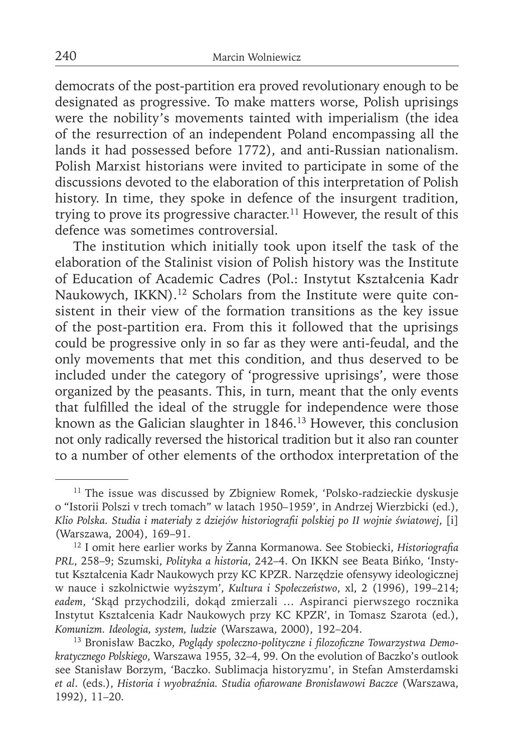democrats of the post-partition era proved revolutionary enough to be designated as progressive. To make matters worse, Polish uprisings were the nobility's movements tainted with imperialism (the idea of the resurrection of an independent Poland encompassing all the lands it had possessed before 1772), and anti-Russian nationalism. Polish Marxist historians were invited to participate in some of the discussions devoted to the elaboration of this interpretation of Polish history. In time, they spoke in defence of the insurgent tradition, trying to prove its progressive character.<sup>11</sup> However, the result of this defence was sometimes controversial.

The institution which initially took upon itself the task of the elaboration of the Stalinist vision of Polish history was the Institute of Education of Academic Cadres (Pol.: Instytut Kształcenia Kadr Naukowych, IKKN).<sup>12</sup> Scholars from the Institute were quite consistent in their view of the formation transitions as the key issue of the post-partition era. From this it followed that the uprisings could be progressive only in so far as they were anti-feudal, and the only movements that met this condition, and thus deserved to be included under the category of 'progressive uprisings', were those organized by the peasants. This, in turn, meant that the only events that fulfilled the ideal of the struggle for independence were those known as the Galician slaughter in 1846.13 However, this conclusion not only radically reversed the historical tradition but it also ran counter to a number of other elements of the orthodox interpretation of the

<sup>&</sup>lt;sup>11</sup> The issue was discussed by Zbigniew Romek, 'Polsko-radzieckie dyskusje o "Istorii Polszi v trech tomach" w latach 1950–1959', in Andrzej Wierzbicki (ed.), *Klio Polska. Studia i materiały z dziejów historiografi i polskiej po II wojnie światowej*, [i] (Warszawa, 2004), 169–91.

<sup>&</sup>lt;sup>12</sup> I omit here earlier works by Żanna Kormanowa. See Stobiecki, *Historiografia PRL*, 258–9; Szumski, *Polityka a historia*, 242–4. On IKKN see Beata Bińko, 'Instytut Kształcenia Kadr Naukowych przy KC KPZR. Narzędzie ofensywy ideologicznej w nauce i szkolnictwie wyższym', *Kultura i Społeczeństwo*, xl, 2 (1996), 199–214; *eadem*, 'Skąd przychodzili, dokąd zmierzali … Aspiranci pierwszego rocznika Instytut Kształcenia Kadr Naukowych przy KC KPZR', in Tomasz Szarota (ed.), *Komunizm. Ideologia, system, ludzie* (Warszawa, 2000), 192–204.

<sup>&</sup>lt;sup>13</sup> Bronisław Baczko, Poglądy społeczno-polityczne i filozoficzne Towarzystwa Demo*kratycznego Polskiego*, Warszawa 1955, 32–4, 99. On the evolution of Baczko's outlook see Stanisław Borzym, 'Baczko. Sublimacja historyzmu', in Stefan Amsterdamski *et al*. (eds.), *Historia i wyobraźnia. Studia ofi arowane Bronisławowi Baczce* (Warszawa, 1992), 11–20.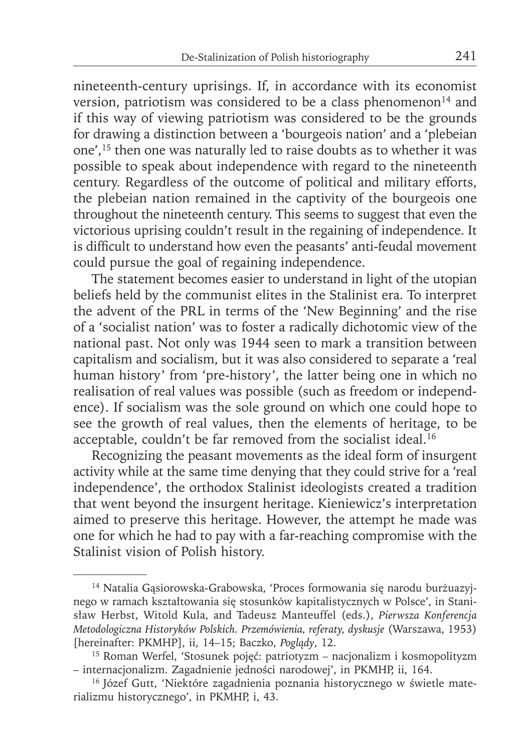nineteenth-century uprisings. If, in accordance with its economist version, patriotism was considered to be a class phenomenon<sup>14</sup> and if this way of viewing patriotism was considered to be the grounds for drawing a distinction between a 'bourgeois nation' and a 'plebeian one',15 then one was naturally led to raise doubts as to whether it was possible to speak about independence with regard to the nineteenth century. Regardless of the outcome of political and military efforts, the plebeian nation remained in the captivity of the bourgeois one throughout the nineteenth century. This seems to suggest that even the victorious uprising couldn't result in the regaining of independence. It is difficult to understand how even the peasants' anti-feudal movement could pursue the goal of regaining independence.

The statement becomes easier to understand in light of the utopian beliefs held by the communist elites in the Stalinist era. To interpret the advent of the PRL in terms of the 'New Beginning' and the rise of a 'socialist nation' was to foster a radically dichotomic view of the national past. Not only was 1944 seen to mark a transition between capitalism and socialism, but it was also considered to separate a 'real human history' from 'pre-history', the latter being one in which no realisation of real values was possible (such as freedom or independence). If socialism was the sole ground on which one could hope to see the growth of real values, then the elements of heritage, to be acceptable, couldn't be far removed from the socialist ideal.<sup>16</sup>

Recognizing the peasant movements as the ideal form of insurgent activity while at the same time denying that they could strive for a 'real independence', the orthodox Stalinist ideologists created a tradition that went beyond the insurgent heritage. Kieniewicz's interpretation aimed to preserve this heritage. However, the attempt he made was one for which he had to pay with a far-reaching compromise with the Stalinist vision of Polish history.

<sup>14</sup> Natalia Gąsiorowska-Grabowska, 'Proces formowania się narodu burżuazyjnego w ramach kształtowania się stosunków kapitalistycznych w Polsce', in Stanisław Herbst, Witold Kula, and Tadeusz Manteuffel (eds.), *Pierwsza Konferencja Metodologiczna Historyków Polskich. Przemówienia, referaty, dyskusje* (Warszawa, 1953) [hereinafter: PKMHP], ii, 14–15; Baczko, *Poglądy*, 12.

<sup>15</sup> Roman Werfel, 'Stosunek pojęć: patriotyzm – nacjonalizm i kosmopolityzm – internacjonalizm. Zagadnienie jedności narodowej', in PKMHP, ii, 164.

<sup>&</sup>lt;sup>16</sup> Józef Gutt, 'Niektóre zagadnienia poznania historycznego w świetle materializmu historycznego', in PKMHP, i, 43.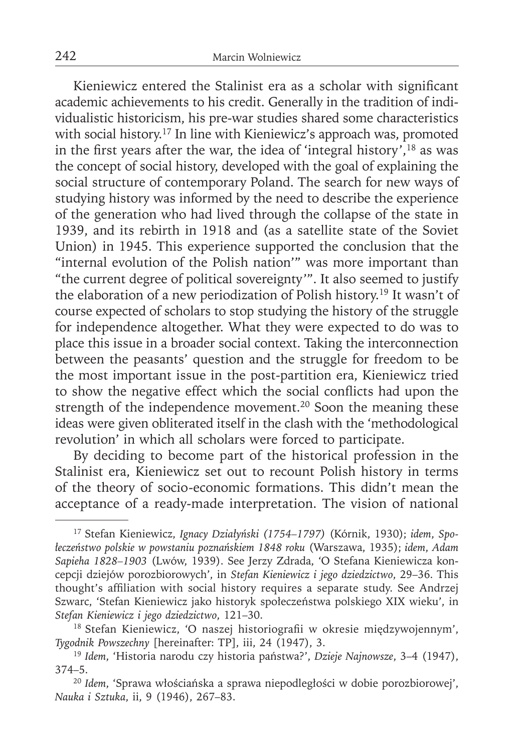Kieniewicz entered the Stalinist era as a scholar with significant academic achievements to his credit. Generally in the tradition of individualistic historicism, his pre-war studies shared some characteristics with social history.<sup>17</sup> In line with Kieniewicz's approach was, promoted in the first years after the war, the idea of 'integral history',<sup>18</sup> as was the concept of social history, developed with the goal of explaining the social structure of contemporary Poland. The search for new ways of studying history was informed by the need to describe the experience of the generation who had lived through the collapse of the state in 1939, and its rebirth in 1918 and (as a satellite state of the Soviet Union) in 1945. This experience supported the conclusion that the "internal evolution of the Polish nation'" was more important than "the current degree of political sovereignty'". It also seemed to justify the elaboration of a new periodization of Polish history.19 It wasn't of course expected of scholars to stop studying the history of the struggle for independence altogether. What they were expected to do was to place this issue in a broader social context. Taking the interconnection between the peasants' question and the struggle for freedom to be the most important issue in the post-partition era, Kieniewicz tried to show the negative effect which the social conflicts had upon the strength of the independence movement.<sup>20</sup> Soon the meaning these ideas were given obliterated itself in the clash with the 'methodological revolution' in which all scholars were forced to participate.

By deciding to become part of the historical profession in the Stalinist era, Kieniewicz set out to recount Polish history in terms of the theory of socio-economic formations. This didn't mean the acceptance of a ready-made interpretation. The vision of national

<sup>17</sup> Stefan Kieniewicz, *Ignacy Działyński (1754–1797)* (Kórnik, 1930); *idem*, *Społeczeństwo polskie w powstaniu poznańskiem 1848 roku* (Warszawa, 1935); *idem*, *Adam Sapieha 1828–1903* (Lwów, 1939). See Jerzy Zdrada, 'O Stefana Kieniewicza koncepcji dziejów porozbiorowych', in *Stefan Kieniewicz i jego dziedzictwo*, 29–36. This thought's affiliation with social history requires a separate study. See Andrzej Szwarc, 'Stefan Kieniewicz jako historyk społeczeństwa polskiego XIX wieku', in *Stefan Kieniewicz i jego dziedzictwo*, 121–30.

<sup>&</sup>lt;sup>18</sup> Stefan Kieniewicz, 'O naszej historiografii w okresie międzywojennym', *Tygodnik Powszechny* [hereinafter: TP], iii, 24 (1947), 3.

<sup>19</sup>*Idem*, 'Historia narodu czy historia państwa?', *Dzieje Najnowsze*, 3–4 (1947), 374–5.

<sup>20</sup>*Idem*, 'Sprawa włościańska a sprawa niepodległości w dobie porozbiorowej', *Nauka i Sztuka*, ii, 9 (1946), 267–83.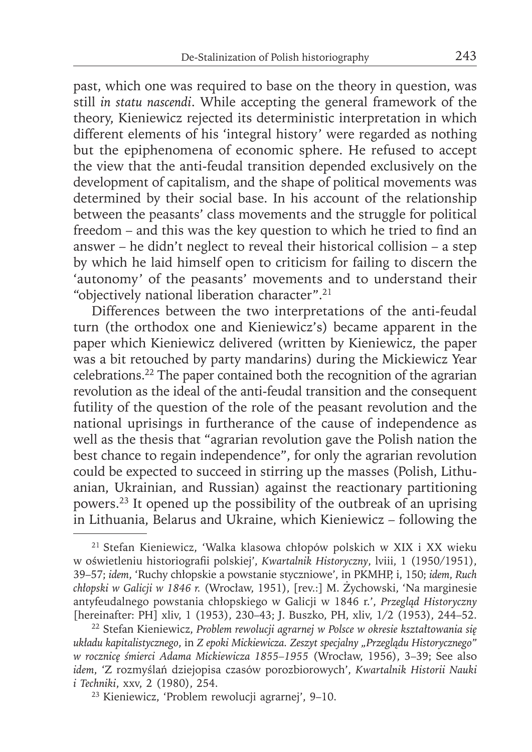past, which one was required to base on the theory in question, was still *in statu nascendi*. While accepting the general framework of the theory, Kieniewicz rejected its deterministic interpretation in which different elements of his 'integral history' were regarded as nothing but the epiphenomena of economic sphere. He refused to accept the view that the anti-feudal transition depended exclusively on the development of capitalism, and the shape of political movements was determined by their social base. In his account of the relationship between the peasants' class movements and the struggle for political freedom – and this was the key question to which he tried to find an answer – he didn't neglect to reveal their historical collision – a step by which he laid himself open to criticism for failing to discern the 'autonomy' of the peasants' movements and to understand their "objectively national liberation character".21

Differences between the two interpretations of the anti-feudal turn (the orthodox one and Kieniewicz's) became apparent in the paper which Kieniewicz delivered (written by Kieniewicz, the paper was a bit retouched by party mandarins) during the Mickiewicz Year celebrations.22 The paper contained both the recognition of the agrarian revolution as the ideal of the anti-feudal transition and the consequent futility of the question of the role of the peasant revolution and the national uprisings in furtherance of the cause of independence as well as the thesis that "agrarian revolution gave the Polish nation the best chance to regain independence", for only the agrarian revolution could be expected to succeed in stirring up the masses (Polish, Lithuanian, Ukrainian, and Russian) against the reactionary partitioning powers.23 It opened up the possibility of the outbreak of an uprising in Lithuania, Belarus and Ukraine, which Kieniewicz – following the

<sup>21</sup> Stefan Kieniewicz, 'Walka klasowa chłopów polskich w XIX i XX wieku w oświetleniu historiografi i polskiej', *Kwartalnik Historyczny*, lviii, 1 (1950/1951), 39–57; *idem*, 'Ruchy chłopskie a powstanie styczniowe', in PKMHP, i, 150; *idem*, *Ruch chłopski w Galicji w 1846 r.* (Wrocław, 1951), [rev.:] M. Żychowski, 'Na marginesie antyfeudalnego powstania chłopskiego w Galicji w 1846 r.', *Przegląd Historyczny* [hereinafter: PH] xliv, 1 (1953), 230-43; J. Buszko, PH, xliv, 1/2 (1953), 244-52.

<sup>22</sup> Stefan Kieniewicz, *Problem rewolucji agrarnej w Polsce w okresie kształtowania się układu kapitalistycznego*, in *Z epoki Mickiewicza. Zeszyt specjalny "Przeglądu Historycznego" w rocznicę śmierci Adama Mickiewicza 1855–1955* (Wrocław, 1956), 3–39; See also *idem*, 'Z rozmyślań dziejopisa czasów porozbiorowych', *Kwartalnik Historii Nauki i Techniki*, xxv, 2 (1980), 254.

<sup>23</sup> Kieniewicz, 'Problem rewolucji agrarnej', 9–10.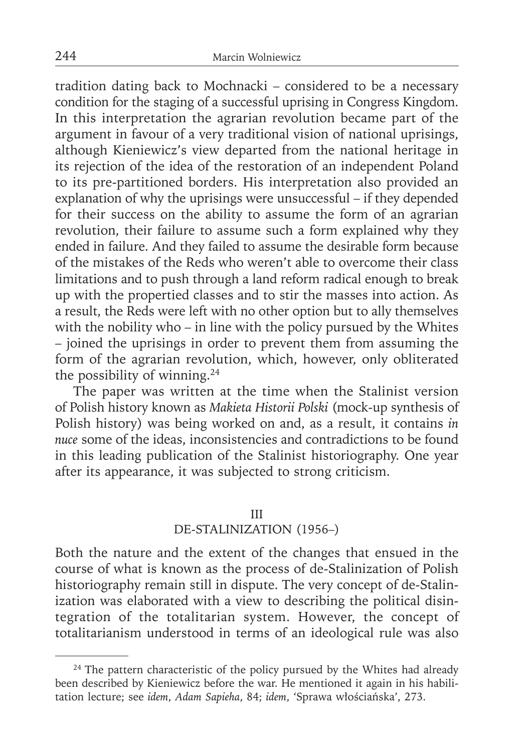tradition dating back to Mochnacki – considered to be a necessary condition for the staging of a successful uprising in Congress Kingdom. In this interpretation the agrarian revolution became part of the argument in favour of a very traditional vision of national uprisings, although Kieniewicz's view departed from the national heritage in its rejection of the idea of the restoration of an independent Poland to its pre-partitioned borders. His interpretation also provided an explanation of why the uprisings were unsuccessful – if they depended for their success on the ability to assume the form of an agrarian revolution, their failure to assume such a form explained why they ended in failure. And they failed to assume the desirable form because of the mistakes of the Reds who weren't able to overcome their class limitations and to push through a land reform radical enough to break up with the propertied classes and to stir the masses into action. As a result, the Reds were left with no other option but to ally themselves with the nobility who – in line with the policy pursued by the Whites – joined the uprisings in order to prevent them from assuming the form of the agrarian revolution, which, however, only obliterated the possibility of winning.24

The paper was written at the time when the Stalinist version of Polish history known as *Makieta Historii Polski* (mock-up synthesis of Polish history) was being worked on and, as a result, it contains *in nuce* some of the ideas, inconsistencies and contradictions to be found in this leading publication of the Stalinist historiography. One year after its appearance, it was subjected to strong criticism.

### III

# DE-STALINIZATION (1956–)

Both the nature and the extent of the changes that ensued in the course of what is known as the process of de-Stalinization of Polish historiography remain still in dispute. The very concept of de-Stalinization was elaborated with a view to describing the political disintegration of the totalitarian system. However, the concept of totalitarianism understood in terms of an ideological rule was also

<sup>&</sup>lt;sup>24</sup> The pattern characteristic of the policy pursued by the Whites had already been described by Kieniewicz before the war. He mentioned it again in his habilitation lecture; see *idem*, *Adam Sapieha*, 84; *idem*, 'Sprawa włościańska', 273.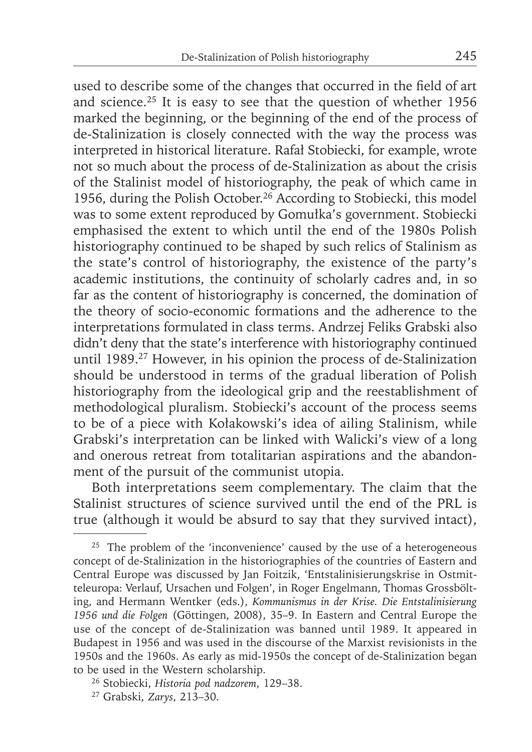used to describe some of the changes that occurred in the field of art and science.<sup>25</sup> It is easy to see that the question of whether  $1956$ marked the beginning, or the beginning of the end of the process of de-Stalinization is closely connected with the way the process was interpreted in historical literature. Rafał Stobiecki, for example, wrote not so much about the process of de-Stalinization as about the crisis of the Stalinist model of historiography, the peak of which came in 1956, during the Polish October.26 According to Stobiecki, this model was to some extent reproduced by Gomułka's government. Stobiecki emphasised the extent to which until the end of the 1980s Polish historiography continued to be shaped by such relics of Stalinism as the state's control of historiography, the existence of the party's academic institutions, the continuity of scholarly cadres and, in so far as the content of historiography is concerned, the domination of the theory of socio-economic formations and the adherence to the interpretations formulated in class terms. Andrzej Feliks Grabski also didn't deny that the state's interference with historiography continued until 1989.27 However, in his opinion the process of de-Stalinization should be understood in terms of the gradual liberation of Polish historiography from the ideological grip and the reestablishment of methodological pluralism. Stobiecki's account of the process seems to be of a piece with Kołakowski's idea of ailing Stalinism, while Grabski's interpretation can be linked with Walicki's view of a long and onerous retreat from totalitarian aspirations and the abandonment of the pursuit of the communist utopia.

Both interpretations seem complementary. The claim that the Stalinist structures of science survived until the end of the PRL is true (although it would be absurd to say that they survived intact),

<sup>&</sup>lt;sup>25</sup> The problem of the 'inconvenience' caused by the use of a heterogeneous concept of de-Stalinization in the historiographies of the countries of Eastern and Central Europe was discussed by Jan Foitzik, 'Entstalinisierungskrise in Ostmitteleuropa: Verlauf, Ursachen und Folgen', in Roger Engelmann, Thomas Grossbölting, and Hermann Wentker (eds.), *Kommunismus in der Krise. Die Entstalinisierung 1956 und die Folgen* (Göttingen, 2008), 35–9. In Eastern and Central Europe the use of the concept of de-Stalinization was banned until 1989. It appeared in Budapest in 1956 and was used in the discourse of the Marxist revisionists in the 1950s and the 1960s. As early as mid-1950s the concept of de-Stalinization began to be used in the Western scholarship.

<sup>26</sup> Stobiecki, *Historia pod nadzorem*, 129–38.

<sup>27</sup> Grabski, *Zarys*, 213–30.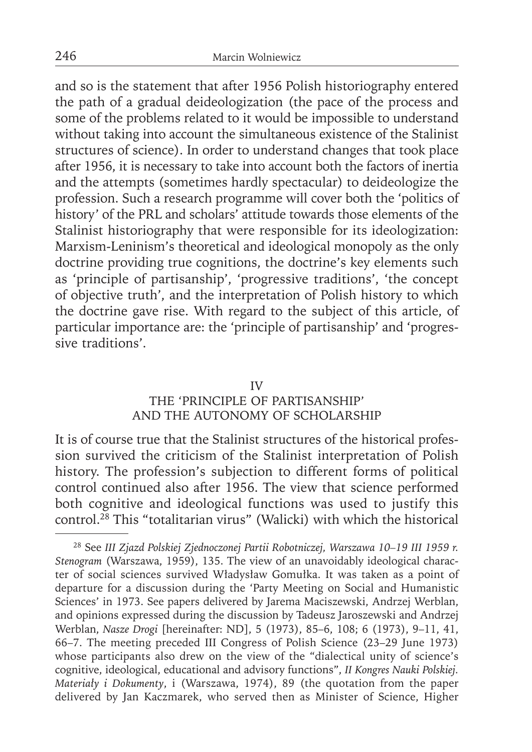and so is the statement that after 1956 Polish historiography entered the path of a gradual deideologization (the pace of the process and some of the problems related to it would be impossible to understand without taking into account the simultaneous existence of the Stalinist structures of science). In order to understand changes that took place after 1956, it is necessary to take into account both the factors of inertia and the attempts (sometimes hardly spectacular) to deideologize the profession. Such a research programme will cover both the 'politics of history' of the PRL and scholars' attitude towards those elements of the Stalinist historiography that were responsible for its ideologization: Marxism-Leninism's theoretical and ideological monopoly as the only doctrine providing true cognitions, the doctrine's key elements such as 'principle of partisanship', 'progressive traditions', 'the concept of objective truth', and the interpretation of Polish history to which the doctrine gave rise. With regard to the subject of this article, of particular importance are: the 'principle of partisanship' and 'progressive traditions'.

### IV

# THE 'PRINCIPLE OF PARTISANSHIP' AND THE AUTONOMY OF SCHOLARSHIP

It is of course true that the Stalinist structures of the historical profession survived the criticism of the Stalinist interpretation of Polish history. The profession's subjection to different forms of political control continued also after 1956. The view that science performed both cognitive and ideological functions was used to justify this control.28 This "totalitarian virus" (Walicki) with which the historical

<sup>28</sup> See *III Zjazd Polskiej Zjednoczonej Partii Robotniczej, Warszawa 10–19 III 1959 r. Stenogram* (Warszawa, 1959), 135. The view of an unavoidably ideological character of social sciences survived Władysław Gomułka. It was taken as a point of departure for a discussion during the 'Party Meeting on Social and Humanistic Sciences' in 1973. See papers delivered by Jarema Maciszewski, Andrzej Werblan, and opinions expressed during the discussion by Tadeusz Jaroszewski and Andrzej Werblan, *Nasze Drogi* [hereinafter: ND], 5 (1973), 85–6, 108; 6 (1973), 9–11, 41, 66–7. The meeting preceded III Congress of Polish Science (23–29 June 1973) whose participants also drew on the view of the "dialectical unity of science's cognitive, ideological, educational and advisory functions", *II Kongres Nauki Polskiej. Materiały i Dokumenty*, i (Warszawa, 1974), 89 (the quotation from the paper delivered by Jan Kaczmarek, who served then as Minister of Science, Higher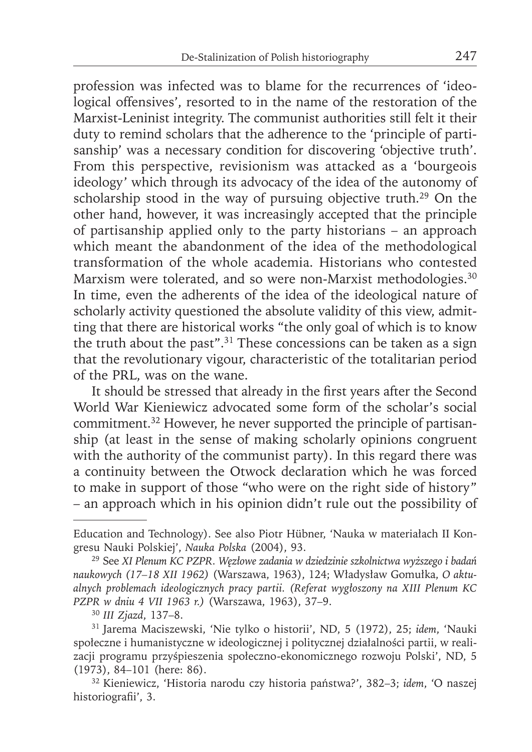profession was infected was to blame for the recurrences of 'ideological offensives', resorted to in the name of the restoration of the Marxist-Leninist integrity. The communist authorities still felt it their duty to remind scholars that the adherence to the 'principle of partisanship' was a necessary condition for discovering 'objective truth'. From this perspective, revisionism was attacked as a 'bourgeois ideology' which through its advocacy of the idea of the autonomy of scholarship stood in the way of pursuing objective truth.29 On the other hand, however, it was increasingly accepted that the principle of partisanship applied only to the party historians – an approach which meant the abandonment of the idea of the methodological transformation of the whole academia. Historians who contested Marxism were tolerated, and so were non-Marxist methodologies.<sup>30</sup> In time, even the adherents of the idea of the ideological nature of scholarly activity questioned the absolute validity of this view, admitting that there are historical works "the only goal of which is to know the truth about the past". $31$  These concessions can be taken as a sign that the revolutionary vigour, characteristic of the totalitarian period of the PRL, was on the wane.

It should be stressed that already in the first years after the Second World War Kieniewicz advocated some form of the scholar's social commitment.<sup>32</sup> However, he never supported the principle of partisanship (at least in the sense of making scholarly opinions congruent with the authority of the communist party). In this regard there was a continuity between the Otwock declaration which he was forced to make in support of those "who were on the right side of history" – an approach which in his opinion didn't rule out the possibility of

Education and Technology). See also Piotr Hübner, 'Nauka w materiałach II Kongresu Nauki Polskiej', *Nauka Polska* (2004), 93.

<sup>29</sup> See *XI Plenum KC PZPR. Węzłowe zadania w dziedzinie szkolnictwa wyższego i badań naukowych (17–18 XII 1962)* (Warszawa, 1963), 124; Władysław Gomułka, *O aktualnych problemach ideologicznych pracy partii. (Referat wygłoszony na XIII Plenum KC PZPR w dniu 4 VII 1963 r.)* (Warszawa, 1963), 37–9.

<sup>30</sup>*III Zjazd*, 137–8.

<sup>31</sup> Jarema Maciszewski, 'Nie tylko o historii', ND, 5 (1972), 25; *idem*, 'Nauki społeczne i humanistyczne w ideologicznej i politycznej działalności partii, w realizacji programu przyśpieszenia społeczno-ekonomicznego rozwoju Polski', ND, 5 (1973), 84–101 (here: 86).

<sup>32</sup> Kieniewicz, 'Historia narodu czy historia państwa?', 382–3; *idem*, 'O naszej historiografii', 3.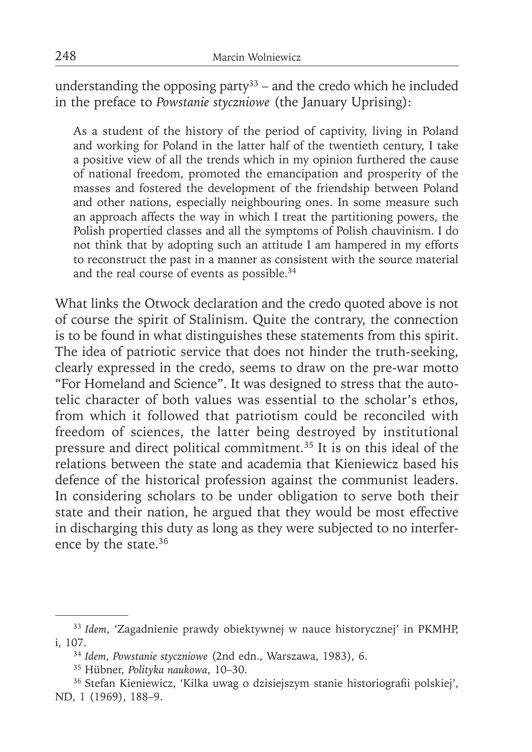understanding the opposing party<sup>33</sup> – and the credo which he included in the preface to *Powstanie styczniowe* (the January Uprising):

As a student of the history of the period of captivity, living in Poland and working for Poland in the latter half of the twentieth century, I take a positive view of all the trends which in my opinion furthered the cause of national freedom, promoted the emancipation and prosperity of the masses and fostered the development of the friendship between Poland and other nations, especially neighbouring ones. In some measure such an approach affects the way in which I treat the partitioning powers, the Polish propertied classes and all the symptoms of Polish chauvinism. I do not think that by adopting such an attitude I am hampered in my efforts to reconstruct the past in a manner as consistent with the source material and the real course of events as possible.34

What links the Otwock declaration and the credo quoted above is not of course the spirit of Stalinism. Quite the contrary, the connection is to be found in what distinguishes these statements from this spirit. The idea of patriotic service that does not hinder the truth-seeking, clearly expressed in the credo, seems to draw on the pre-war motto "For Homeland and Science". It was designed to stress that the autotelic character of both values was essential to the scholar's ethos, from which it followed that patriotism could be reconciled with freedom of sciences, the latter being destroyed by institutional pressure and direct political commitment.35 It is on this ideal of the relations between the state and academia that Kieniewicz based his defence of the historical profession against the communist leaders. In considering scholars to be under obligation to serve both their state and their nation, he argued that they would be most effective in discharging this duty as long as they were subjected to no interference by the state.<sup>36</sup>

<sup>33</sup>*Idem*, 'Zagadnienie prawdy obiektywnej w nauce historycznej' in PKMHP, i, 107.

<sup>34</sup>*Idem*, *Powstanie styczniowe* (2nd edn., Warszawa, 1983), 6.

<sup>35</sup> Hübner, *Polityka naukowa*, 10–30.

<sup>&</sup>lt;sup>36</sup> Stefan Kieniewicz, 'Kilka uwag o dzisiejszym stanie historiografii polskiej', ND, 1 (1969), 188–9.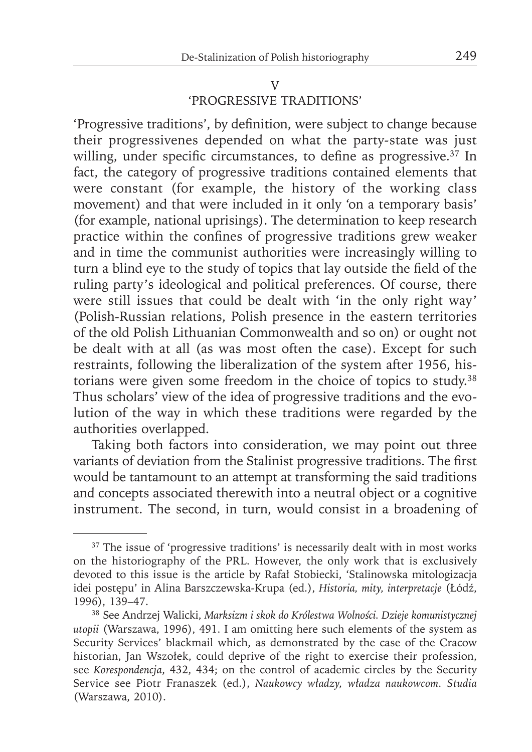#### V

# 'PROGRESSIVE TRADITIONS'

'Progressive traditions', by definition, were subject to change because their progressivenes depended on what the party-state was just willing, under specific circumstances, to define as progressive. $37$  In fact, the category of progressive traditions contained elements that were constant (for example, the history of the working class movement) and that were included in it only 'on a temporary basis' (for example, national uprisings). The determination to keep research practice within the confines of progressive traditions grew weaker and in time the communist authorities were increasingly willing to turn a blind eye to the study of topics that lay outside the field of the ruling party's ideological and political preferences. Of course, there were still issues that could be dealt with 'in the only right way' (Polish-Russian relations, Polish presence in the eastern territories of the old Polish Lithuanian Commonwealth and so on) or ought not be dealt with at all (as was most often the case). Except for such restraints, following the liberalization of the system after 1956, historians were given some freedom in the choice of topics to study.38 Thus scholars' view of the idea of progressive traditions and the evolution of the way in which these traditions were regarded by the authorities overlapped.

Taking both factors into consideration, we may point out three variants of deviation from the Stalinist progressive traditions. The first would be tantamount to an attempt at transforming the said traditions and concepts associated therewith into a neutral object or a cognitive instrument. The second, in turn, would consist in a broadening of

<sup>&</sup>lt;sup>37</sup> The issue of 'progressive traditions' is necessarily dealt with in most works on the historiography of the PRL. However, the only work that is exclusively devoted to this issue is the article by Rafał Stobiecki, 'Stalinowska mitologizacja idei postępu' in Alina Barszczewska-Krupa (ed.), *Historia, mity, interpretacje* (Łódź, 1996), 139–47.

<sup>38</sup> See Andrzej Walicki, *Marksizm i skok do Królestwa Wolności. Dzieje komunistycznej utopii* (Warszawa, 1996), 491. I am omitting here such elements of the system as Security Services' blackmail which, as demonstrated by the case of the Cracow historian, Jan Wszołek, could deprive of the right to exercise their profession, see *Korespondencja*, 432, 434; on the control of academic circles by the Security Service see Piotr Franaszek (ed.), *Naukowcy władzy, władza naukowcom. Studia*  (Warszawa, 2010).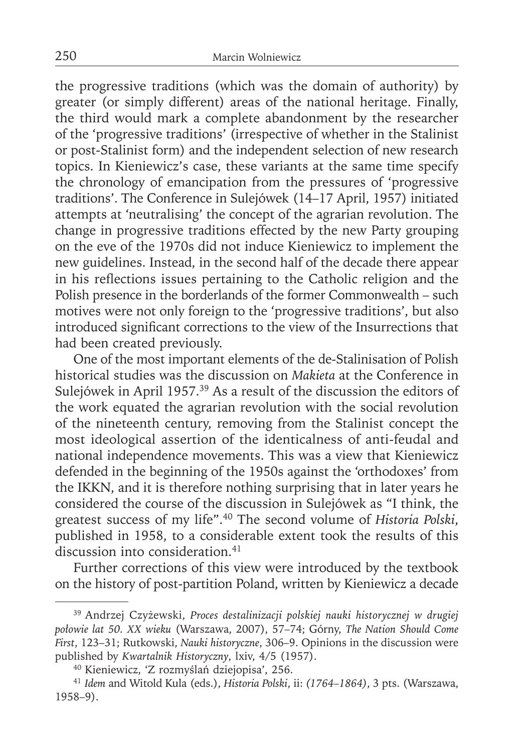the progressive traditions (which was the domain of authority) by greater (or simply different) areas of the national heritage. Finally, the third would mark a complete abandonment by the researcher of the 'progressive traditions' (irrespective of whether in the Stalinist or post-Stalinist form) and the independent selection of new research topics. In Kieniewicz's case, these variants at the same time specify the chronology of emancipation from the pressures of 'progressive traditions'. The Conference in Sulejówek (14–17 April, 1957) initiated attempts at 'neutralising' the concept of the agrarian revolution. The change in progressive traditions effected by the new Party grouping on the eve of the 1970s did not induce Kieniewicz to implement the new guidelines. Instead, in the second half of the decade there appear in his reflections issues pertaining to the Catholic religion and the Polish presence in the borderlands of the former Commonwealth – such motives were not only foreign to the 'progressive traditions', but also introduced significant corrections to the view of the Insurrections that had been created previously.

One of the most important elements of the de-Stalinisation of Polish historical studies was the discussion on *Makieta* at the Conference in Sulejówek in April 1957.39 As a result of the discussion the editors of the work equated the agrarian revolution with the social revolution of the nineteenth century, removing from the Stalinist concept the most ideological assertion of the identicalness of anti-feudal and national independence movements. This was a view that Kieniewicz defended in the beginning of the 1950s against the 'orthodoxes' from the IKKN, and it is therefore nothing surprising that in later years he considered the course of the discussion in Sulejówek as "I think, the greatest success of my life".40 The second volume of *Historia Polski*, published in 1958, to a considerable extent took the results of this discussion into consideration.<sup>41</sup>

Further corrections of this view were introduced by the textbook on the history of post-partition Poland, written by Kieniewicz a decade

<sup>39</sup> Andrzej Czyżewski, *Proces destalinizacji polskiej nauki historycznej w drugiej połowie lat 50. XX wieku* (Warszawa, 2007), 57–74; Górny, *The Nation Should Come First*, 123–31; Rutkowski, *Nauki historyczne*, 306–9. Opinions in the discussion were published by *Kwartalnik Historyczny*, lxiv, 4/5 (1957).

<sup>40</sup> Kieniewicz, 'Z rozmyślań dziejopisa', 256.

<sup>41</sup>*Idem* and Witold Kula (eds.), *Historia Polski*, ii: *(1764–1864)*, 3 pts. (Warszawa, 1958–9).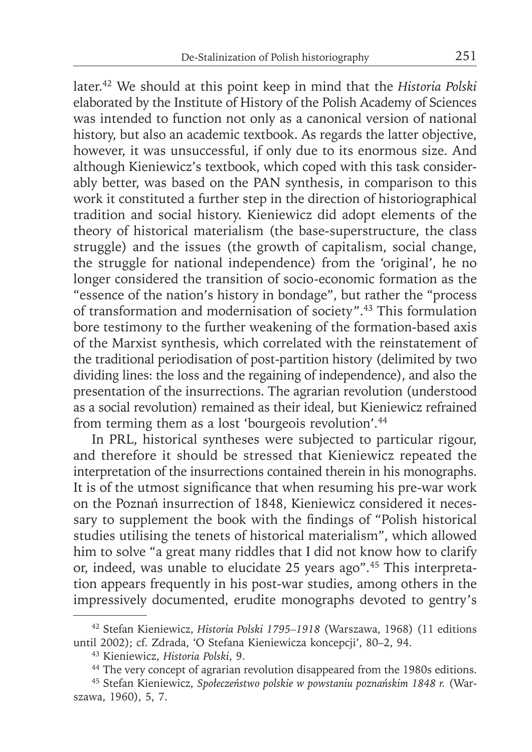later.42 We should at this point keep in mind that the *Historia Polski*  elaborated by the Institute of History of the Polish Academy of Sciences was intended to function not only as a canonical version of national history, but also an academic textbook. As regards the latter objective, however, it was unsuccessful, if only due to its enormous size. And although Kieniewicz's textbook, which coped with this task considerably better, was based on the PAN synthesis, in comparison to this work it constituted a further step in the direction of historiographical tradition and social history. Kieniewicz did adopt elements of the theory of historical materialism (the base-superstructure, the class struggle) and the issues (the growth of capitalism, social change, the struggle for national independence) from the 'original', he no longer considered the transition of socio-economic formation as the "essence of the nation's history in bondage", but rather the "process of transformation and modernisation of society".43 This formulation bore testimony to the further weakening of the formation-based axis of the Marxist synthesis, which correlated with the reinstatement of the traditional periodisation of post-partition history (delimited by two dividing lines: the loss and the regaining of independence), and also the presentation of the insurrections. The agrarian revolution (understood as a social revolution) remained as their ideal, but Kieniewicz refrained from terming them as a lost 'bourgeois revolution'.<sup>44</sup>

In PRL, historical syntheses were subjected to particular rigour, and therefore it should be stressed that Kieniewicz repeated the interpretation of the insurrections contained therein in his monographs. It is of the utmost significance that when resuming his pre-war work on the Poznań insurrection of 1848, Kieniewicz considered it necessary to supplement the book with the findings of "Polish historical studies utilising the tenets of historical materialism", which allowed him to solve "a great many riddles that I did not know how to clarify or, indeed, was unable to elucidate 25 years ago".<sup>45</sup> This interpretation appears frequently in his post-war studies, among others in the impressively documented, erudite monographs devoted to gentry's

<sup>42</sup> Stefan Kieniewicz, *Historia Polski 1795–1918* (Warszawa, 1968) (11 editions until 2002); cf. Zdrada, 'O Stefana Kieniewicza koncepcji', 80–2, 94.

<sup>43</sup> Kieniewicz, *Historia Polski*, 9.

<sup>&</sup>lt;sup>44</sup> The very concept of agrarian revolution disappeared from the 1980s editions.

<sup>45</sup> Stefan Kieniewicz, *Społeczeństwo polskie w powstaniu poznańskim 1848 r.* (Warszawa, 1960), 5, 7.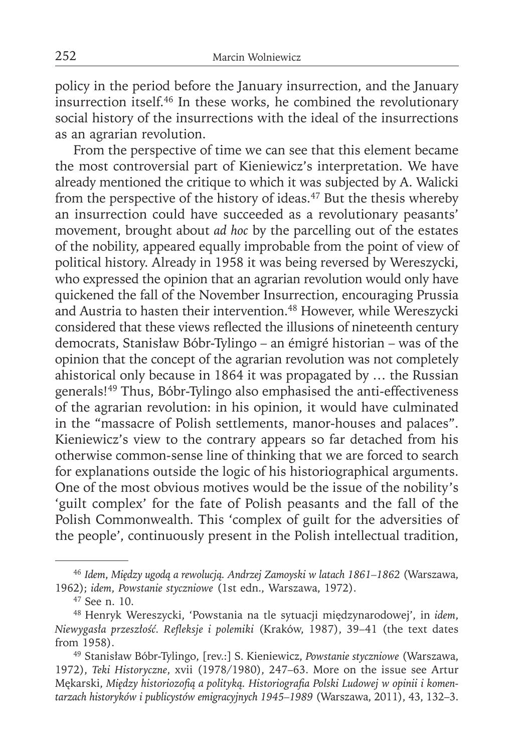policy in the period before the January insurrection, and the January insurrection itself.46 In these works, he combined the revolutionary social history of the insurrections with the ideal of the insurrections as an agrarian revolution.

From the perspective of time we can see that this element became the most controversial part of Kieniewicz's interpretation. We have already mentioned the critique to which it was subjected by A. Walicki from the perspective of the history of ideas.47 But the thesis whereby an insurrection could have succeeded as a revolutionary peasants' movement, brought about *ad hoc* by the parcelling out of the estates of the nobility, appeared equally improbable from the point of view of political history. Already in 1958 it was being reversed by Wereszycki, who expressed the opinion that an agrarian revolution would only have quickened the fall of the November Insurrection, encouraging Prussia and Austria to hasten their intervention.<sup>48</sup> However, while Wereszycki considered that these views reflected the illusions of nineteenth century democrats, Stanisław Bóbr-Tylingo – an émigré historian – was of the opinion that the concept of the agrarian revolution was not completely ahistorical only because in 1864 it was propagated by … the Russian generals!49 Thus, Bóbr-Tylingo also emphasised the anti-effectiveness of the agrarian revolution: in his opinion, it would have culminated in the "massacre of Polish settlements, manor-houses and palaces". Kieniewicz's view to the contrary appears so far detached from his otherwise common-sense line of thinking that we are forced to search for explanations outside the logic of his historiographical arguments. One of the most obvious motives would be the issue of the nobility's 'guilt complex' for the fate of Polish peasants and the fall of the Polish Commonwealth. This 'complex of guilt for the adversities of the people', continuously present in the Polish intellectual tradition,

<sup>46</sup>*Idem*, *Między ugodą a rewolucją. Andrzej Zamoyski w latach 1861–1862* (Warszawa, 1962); *idem*, *Powstanie styczniowe* (1st edn., Warszawa, 1972).

<sup>47</sup> See n. 10.

<sup>48</sup> Henryk Wereszycki, 'Powstania na tle sytuacji międzynarodowej', in *idem*, *Niewygasła przeszłość. Refl eksje i polemiki* (Kraków, 1987), 39–41 (the text dates from 1958).

<sup>49</sup> Stanisław Bóbr-Tylingo, [rev.:] S. Kieniewicz, *Powstanie styczniowe* (Warszawa, 1972), *Teki Historyczne*, xvii (1978/1980), 247–63. More on the issue see Artur Mękarski, *Między historiozofią a polityką. Historiografi a Polski Ludowej w opinii i komentarzach historyków i publicystów emigracyjnych 1945–1989* (Warszawa, 2011), 43, 132–3.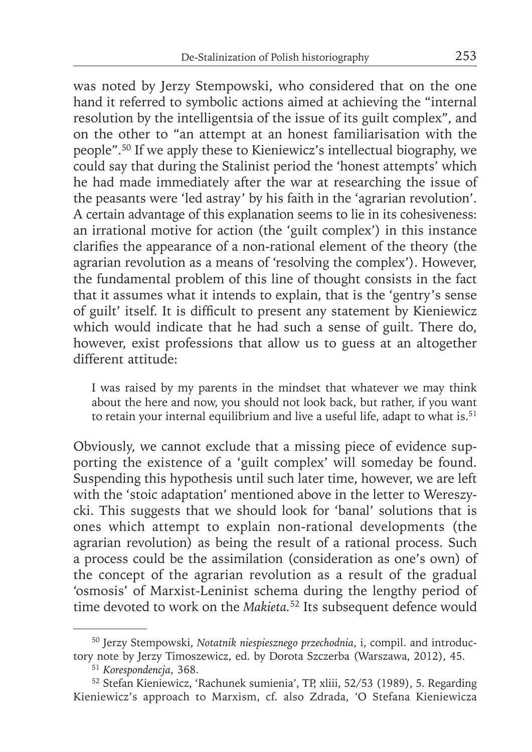was noted by Jerzy Stempowski, who considered that on the one hand it referred to symbolic actions aimed at achieving the "internal resolution by the intelligentsia of the issue of its guilt complex", and on the other to "an attempt at an honest familiarisation with the people".50 If we apply these to Kieniewicz's intellectual biography, we could say that during the Stalinist period the 'honest attempts' which he had made immediately after the war at researching the issue of the peasants were 'led astray' by his faith in the 'agrarian revolution'. A certain advantage of this explanation seems to lie in its cohesiveness: an irrational motive for action (the 'guilt complex') in this instance clarifies the appearance of a non-rational element of the theory (the agrarian revolution as a means of 'resolving the complex'). However, the fundamental problem of this line of thought consists in the fact that it assumes what it intends to explain, that is the 'gentry's sense of guilt' itself. It is difficult to present any statement by Kieniewicz which would indicate that he had such a sense of guilt. There do, however, exist professions that allow us to guess at an altogether different attitude:

I was raised by my parents in the mindset that whatever we may think about the here and now, you should not look back, but rather, if you want to retain your internal equilibrium and live a useful life, adapt to what is.<sup>51</sup>

Obviously, we cannot exclude that a missing piece of evidence supporting the existence of a 'guilt complex' will someday be found. Suspending this hypothesis until such later time, however, we are left with the 'stoic adaptation' mentioned above in the letter to Wereszycki. This suggests that we should look for 'banal' solutions that is ones which attempt to explain non-rational developments (the agrarian revolution) as being the result of a rational process. Such a process could be the assimilation (consideration as one's own) of the concept of the agrarian revolution as a result of the gradual 'osmosis' of Marxist-Leninist schema during the lengthy period of time devoted to work on the *Makieta.*52 Its subsequent defence would

<sup>50</sup> Jerzy Stempowski, *Notatnik niespiesznego przechodnia*, i, compil. and introductory note by Jerzy Timoszewicz, ed. by Dorota Szczerba (Warszawa, 2012), 45.

<sup>51</sup>*Korespondencja*, 368.

<sup>52</sup> Stefan Kieniewicz, 'Rachunek sumienia', TP, xliii, 52/53 (1989), 5. Regarding Kieniewicz's approach to Marxism, cf. also Zdrada, 'O Stefana Kieniewicza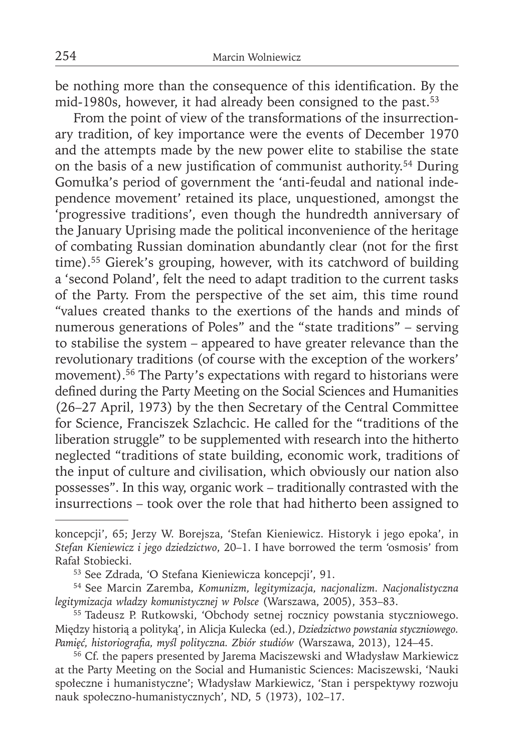be nothing more than the consequence of this identification. By the mid-1980s, however, it had already been consigned to the past.<sup>53</sup>

From the point of view of the transformations of the insurrectionary tradition, of key importance were the events of December 1970 and the attempts made by the new power elite to stabilise the state on the basis of a new justification of communist authority.<sup>54</sup> During Gomułka's period of government the 'anti-feudal and national independence movement' retained its place, unquestioned, amongst the 'progressive traditions', even though the hundredth anniversary of the January Uprising made the political inconvenience of the heritage of combating Russian domination abundantly clear (not for the first time).55 Gierek's grouping, however, with its catchword of building a 'second Poland', felt the need to adapt tradition to the current tasks of the Party. From the perspective of the set aim, this time round "values created thanks to the exertions of the hands and minds of numerous generations of Poles" and the "state traditions" – serving to stabilise the system – appeared to have greater relevance than the revolutionary traditions (of course with the exception of the workers' movement).<sup>56</sup> The Party's expectations with regard to historians were defined during the Party Meeting on the Social Sciences and Humanities (26–27 April, 1973) by the then Secretary of the Central Committee for Science, Franciszek Szlachcic. He called for the "traditions of the liberation struggle" to be supplemented with research into the hitherto neglected "traditions of state building, economic work, traditions of the input of culture and civilisation, which obviously our nation also possesses". In this way, organic work – traditionally contrasted with the insurrections – took over the role that had hitherto been assigned to

koncepcji', 65; Jerzy W. Borejsza, 'Stefan Kieniewicz. Historyk i jego epoka', in *Stefan Kieniewicz i jego dziedzictwo*, 20–1. I have borrowed the term 'osmosis' from Rafał Stobiecki.

<sup>53</sup> See Zdrada, 'O Stefana Kieniewicza koncepcji', 91.

<sup>54</sup> See Marcin Zaremba, *Komunizm, legitymizacja, nacjonalizm. Nacjonalistyczna legitymizacja władzy komunistycznej w Polsce* (Warszawa, 2005), 353–83.

<sup>55</sup> Tadeusz P. Rutkowski, 'Obchody setnej rocznicy powstania styczniowego. Między historią a polityką', in Alicja Kulecka (ed.), *Dziedzictwo powstania styczniowego. Pamięć, historiografi a, myśl polityczna. Zbiór studiów* (Warszawa, 2013), 124–45.

<sup>&</sup>lt;sup>56</sup> Cf. the papers presented by Jarema Maciszewski and Władysław Markiewicz at the Party Meeting on the Social and Humanistic Sciences: Maciszewski, 'Nauki społeczne i humanistyczne'; Władysław Markiewicz, 'Stan i perspektywy rozwoju nauk społeczno-humanistycznych', ND, 5 (1973), 102–17.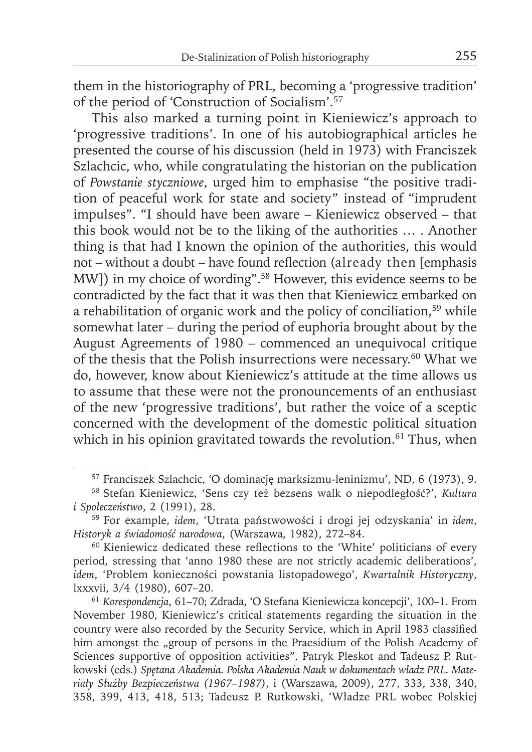them in the historiography of PRL, becoming a 'progressive tradition' of the period of 'Construction of Socialism'.57

This also marked a turning point in Kieniewicz's approach to 'progressive traditions'. In one of his autobiographical articles he presented the course of his discussion (held in 1973) with Franciszek Szlachcic, who, while congratulating the historian on the publication of *Powstanie styczniowe*, urged him to emphasise "the positive tradition of peaceful work for state and society" instead of "imprudent impulses". "I should have been aware – Kieniewicz observed – that this book would not be to the liking of the authorities … . Another thing is that had I known the opinion of the authorities, this would not – without a doubt – have found reflection (already then [emphasis MW]) in my choice of wording".58 However, this evidence seems to be contradicted by the fact that it was then that Kieniewicz embarked on a rehabilitation of organic work and the policy of conciliation,<sup>59</sup> while somewhat later – during the period of euphoria brought about by the August Agreements of 1980 – commenced an unequivocal critique of the thesis that the Polish insurrections were necessary.60 What we do, however, know about Kieniewicz's attitude at the time allows us to assume that these were not the pronouncements of an enthusiast of the new 'progressive traditions', but rather the voice of a sceptic concerned with the development of the domestic political situation which in his opinion gravitated towards the revolution.<sup>61</sup> Thus, when

<sup>57</sup> Franciszek Szlachcic, 'O dominację marksizmu-leninizmu', ND, 6 (1973), 9.

<sup>58</sup> Stefan Kieniewicz, 'Sens czy też bezsens walk o niepodległość?', *Kultura i Społeczeństwo*, 2 (1991), 28.

<sup>59</sup> For example, *idem*, 'Utrata państwowości i drogi jej odzyskania' in *idem*, *Historyk a świadomość narodowa*, (Warszawa, 1982), 272–84.

 $60$  Kieniewicz dedicated these reflections to the 'White' politicians of every period, stressing that 'anno 1980 these are not strictly academic deliberations', *idem*, 'Problem konieczności powstania listopadowego', *Kwartalnik Historyczny*, lxxxvii, 3/4 (1980), 607–20.

<sup>61</sup>*Korespondencja*, 61–70; Zdrada, 'O Stefana Kieniewicza koncepcji', 100–1. From November 1980, Kieniewicz's critical statements regarding the situation in the country were also recorded by the Security Service, which in April 1983 classified him amongst the "group of persons in the Praesidium of the Polish Academy of Sciences supportive of opposition activities", Patryk Pleskot and Tadeusz P. Rutkowski (eds.) *Spętana Akademia. Polska Akademia Nauk w dokumentach władz PRL. Materiały Służby Bezpieczeństwa (1967–1987)*, i (Warszawa, 2009), 277, 333, 338, 340, 358, 399, 413, 418, 513; Tadeusz P. Rutkowski, 'Władze PRL wobec Polskiej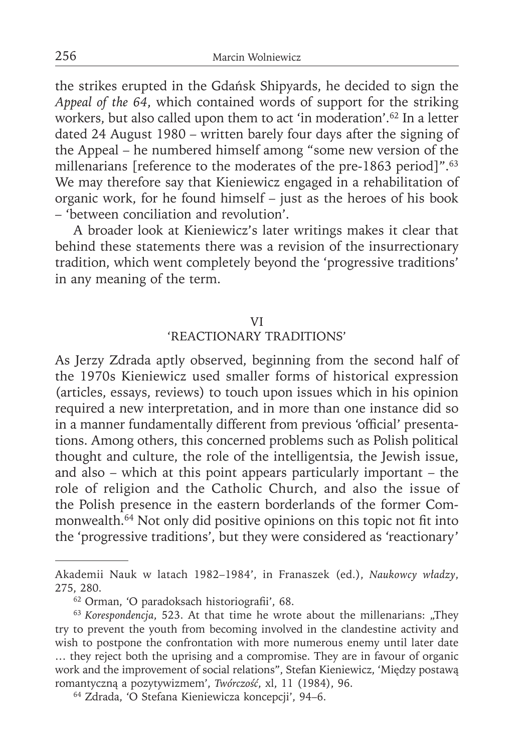the strikes erupted in the Gdańsk Shipyards, he decided to sign the *Appeal of the 64*, which contained words of support for the striking workers, but also called upon them to act 'in moderation'.62 In a letter dated 24 August 1980 – written barely four days after the signing of the Appeal – he numbered himself among "some new version of the millenarians [reference to the moderates of the pre-1863 period]".<sup>63</sup> We may therefore say that Kieniewicz engaged in a rehabilitation of organic work, for he found himself – just as the heroes of his book – 'between conciliation and revolution'.

A broader look at Kieniewicz's later writings makes it clear that behind these statements there was a revision of the insurrectionary tradition, which went completely beyond the 'progressive traditions' in any meaning of the term.

### VI

# 'REACTIONARY TRADITIONS'

As Jerzy Zdrada aptly observed, beginning from the second half of the 1970s Kieniewicz used smaller forms of historical expression (articles, essays, reviews) to touch upon issues which in his opinion required a new interpretation, and in more than one instance did so in a manner fundamentally different from previous 'official' presentations. Among others, this concerned problems such as Polish political thought and culture, the role of the intelligentsia, the Jewish issue, and also – which at this point appears particularly important – the role of religion and the Catholic Church, and also the issue of the Polish presence in the eastern borderlands of the former Commonwealth.<sup>64</sup> Not only did positive opinions on this topic not fit into the 'progressive traditions', but they were considered as 'reactionary'

Akademii Nauk w latach 1982–1984', in Franaszek (ed.), *Naukowcy władzy*, 275, 280.

<sup>&</sup>lt;sup>62</sup> Orman, 'O paradoksach historiografii', 68.

<sup>&</sup>lt;sup>63</sup> Korespondencja, 523. At that time he wrote about the millenarians: "They try to prevent the youth from becoming involved in the clandestine activity and wish to postpone the confrontation with more numerous enemy until later date … they reject both the uprising and a compromise. They are in favour of organic work and the improvement of social relations", Stefan Kieniewicz, 'Między postawą romantyczną a pozytywizmem', *Twórczość*, xl, 11 (1984), 96.

<sup>64</sup> Zdrada, 'O Stefana Kieniewicza koncepcji', 94–6.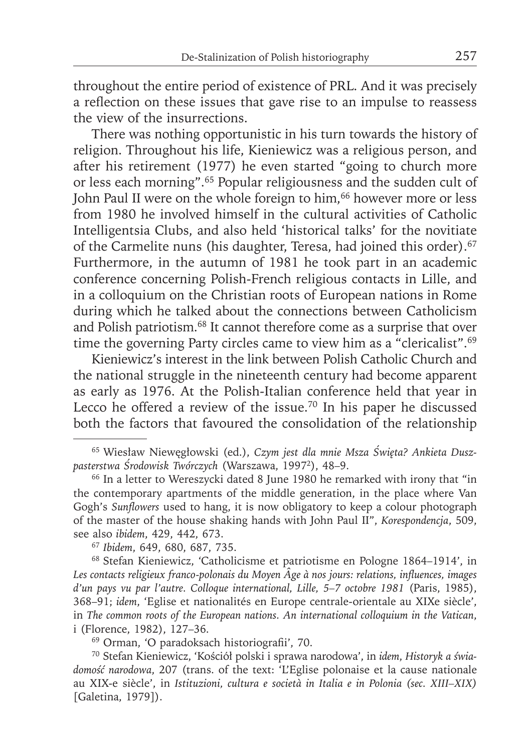throughout the entire period of existence of PRL. And it was precisely a reflection on these issues that gave rise to an impulse to reassess the view of the insurrections.

There was nothing opportunistic in his turn towards the history of religion. Throughout his life, Kieniewicz was a religious person, and after his retirement (1977) he even started "going to church more or less each morning".65 Popular religiousness and the sudden cult of John Paul II were on the whole foreign to him,<sup>66</sup> however more or less from 1980 he involved himself in the cultural activities of Catholic Intelligentsia Clubs, and also held 'historical talks' for the novitiate of the Carmelite nuns (his daughter, Teresa, had joined this order).<sup>67</sup> Furthermore, in the autumn of 1981 he took part in an academic conference concerning Polish-French religious contacts in Lille, and in a colloquium on the Christian roots of European nations in Rome during which he talked about the connections between Catholicism and Polish patriotism.68 It cannot therefore come as a surprise that over time the governing Party circles came to view him as a "clericalist".<sup>69</sup>

Kieniewicz's interest in the link between Polish Catholic Church and the national struggle in the nineteenth century had become apparent as early as 1976. At the Polish-Italian conference held that year in Lecco he offered a review of the issue.70 In his paper he discussed both the factors that favoured the consolidation of the relationship

68 Stefan Kieniewicz, 'Catholicisme et patriotisme en Pologne 1864–1914', in Les contacts religieux franco-polonais du Moyen Âge à nos jours: relations, influences, images *d'un pays vu par l'autre. Colloque international, Lille, 5–7 octobre 1981* (Paris, 1985), 368–91; *idem*, 'Eglise et nationalités en Europe centrale-orientale au XIXe siècle', in *The common roots of the European nations. An international colloquium in the Vatican*, i (Florence, 1982), 127–36.

<sup>69</sup> Orman, 'O paradoksach historiografii', 70.

70 Stefan Kieniewicz, 'Kościół polski i sprawa narodowa', in *idem*, *Histo ryk a świadomość narodowa*, 207 (trans. of the text: 'L'Eglise polonaise et la cause nationale au XIX-e siècle', in *Istituzioni, cultura e società in Italia e in Polonia (sec. XIII–XIX)* [Galetina, 1979]).

<sup>65</sup> Wiesław Niewęgłowski (ed.), *Czym jest dla mnie Msza Święta? Ankieta Duszpasterstwa Środowisk Twórczych* (Warszawa, 19972), 48–9.

<sup>&</sup>lt;sup>66</sup> In a letter to Wereszycki dated 8 June 1980 he remarked with irony that "in the contemporary apartments of the middle generation, in the place where Van Gogh's *Sunflowers* used to hang, it is now obligatory to keep a colour photograph of the master of the house shaking hands with John Paul II", *Korespondencja*, 509, see also *ibidem*, 429, 442, 673.

<sup>67</sup>*Ibidem*, 649, 680, 687, 735.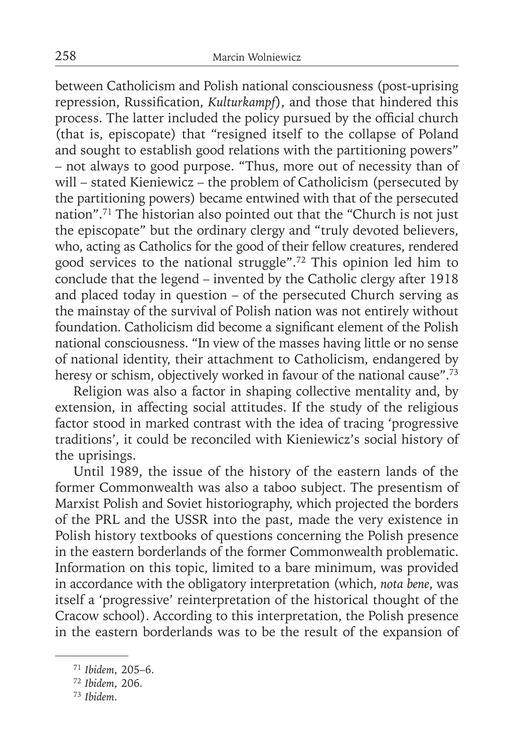between Catholicism and Polish national consciousness (post-uprising repression, Russification, *Kulturkampf*), and those that hindered this process. The latter included the policy pursued by the official church (that is, episcopate) that "resigned itself to the collapse of Poland and sought to establish good relations with the partitioning powers" – not always to good purpose. "Thus, more out of necessity than of will – stated Kieniewicz – the problem of Catholicism (persecuted by the partitioning powers) became entwined with that of the persecuted nation".71 The historian also pointed out that the "Church is not just the episcopate" but the ordinary clergy and "truly devoted believers, who, acting as Catholics for the good of their fellow creatures, rendered good services to the national struggle".72 This opinion led him to conclude that the legend – invented by the Catholic clergy after 1918 and placed today in question – of the persecuted Church serving as the mainstay of the survival of Polish nation was not entirely without foundation. Catholicism did become a significant element of the Polish national consciousness. "In view of the masses having little or no sense of national identity, their attachment to Catholicism, endangered by heresy or schism, objectively worked in favour of the national cause".<sup>73</sup>

Religion was also a factor in shaping collective mentality and, by extension, in affecting social attitudes. If the study of the religious factor stood in marked contrast with the idea of tracing 'progressive traditions', it could be reconciled with Kieniewicz's social history of the uprisings.

Until 1989, the issue of the history of the eastern lands of the former Commonwealth was also a taboo subject. The presentism of Marxist Polish and Soviet historiography, which projected the borders of the PRL and the USSR into the past, made the very existence in Polish history textbooks of questions concerning the Polish presence in the eastern borderlands of the former Commonwealth problematic. Information on this topic, limited to a bare minimum, was provided in accordance with the obligatory interpretation (which, *nota bene*, was itself a 'progressive' reinterpretation of the historical thought of the Cracow school). According to this interpretation, the Polish presence in the eastern borderlands was to be the result of the expansion of

<sup>71</sup>*Ibidem*, 205–6.

<sup>72</sup>*Ibidem*, 206.

<sup>73</sup> *Ibidem*.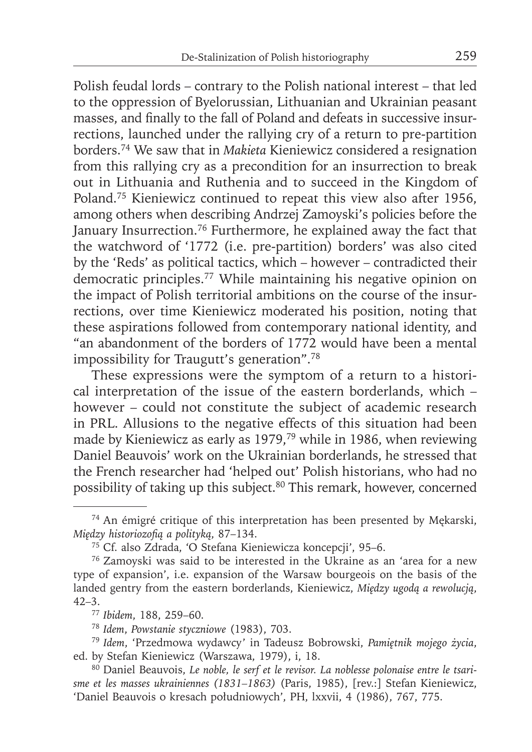Polish feudal lords – contrary to the Polish national interest – that led to the oppression of Byelorussian, Lithuanian and Ukrainian peasant masses, and finally to the fall of Poland and defeats in successive insurrections, launched under the rallying cry of a return to pre-partition borders.74 We saw that in *Makieta* Kieniewicz considered a resignation from this rallying cry as a precondition for an insurrection to break out in Lithuania and Ruthenia and to succeed in the Kingdom of Poland.75 Kieniewicz continued to repeat this view also after 1956, among others when describing Andrzej Zamoyski's policies before the January Insurrection.<sup>76</sup> Furthermore, he explained away the fact that the watchword of '1772 (i.e. pre-partition) borders' was also cited by the 'Reds' as political tactics, which – however – contradicted their democratic principles.<sup>77</sup> While maintaining his negative opinion on the impact of Polish territorial ambitions on the course of the insurrections, over time Kieniewicz moderated his position, noting that these aspirations followed from contemporary national identity, and "an abandonment of the borders of 1772 would have been a mental impossibility for Traugutt's generation".78

These expressions were the symptom of a return to a historical interpretation of the issue of the eastern borderlands, which – however – could not constitute the subject of academic research in PRL. Allusions to the negative effects of this situation had been made by Kieniewicz as early as 1979,79 while in 1986, when reviewing Daniel Beauvois' work on the Ukrainian borderlands, he stressed that the French researcher had 'helped out' Polish historians, who had no possibility of taking up this subject.80 This remark, however, concerned

<sup>74</sup> An émigré critique of this interpretation has been presented by Mękarski, *Między historiozofią a polityką*, 87–134.

<sup>75</sup> Cf. also Zdrada, 'O Stefana Kieniewicza koncepcji', 95–6.

<sup>76</sup> Zamoyski was said to be interested in the Ukraine as an 'area for a new type of expansion', i.e. expansion of the Warsaw bourgeois on the basis of the landed gentry from the eastern borderlands, Kieniewicz, *Między ugodą a rewolucją*,  $42 - 3$ .

<sup>77</sup>*Ibidem*, 188, 259–60.

<sup>78</sup>*Idem*, *Powstanie styczniowe* (1983), 703.

<sup>79</sup>*Idem*, 'Przedmowa wydawcy' in Tadeusz Bobrowski, *Pamiętnik mojego życia*, ed. by Stefan Kieniewicz (Warszawa, 1979), i, 18.

<sup>80</sup> Daniel Beauvois, *Le noble, le serf et le revisor. La noblesse polonaise entre le tsarisme et les masses ukrainiennes (1831–1863)* (Paris, 1985), [rev.:] Stefan Kieniewicz, 'Daniel Beauvois o kresach południowych', PH, lxxvii, 4 (1986), 767, 775.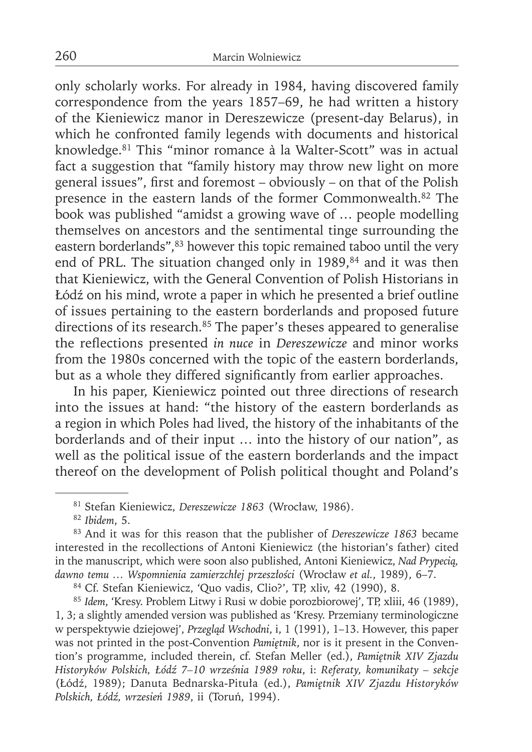only scholarly works. For already in 1984, having discovered family correspondence from the years 1857–69, he had written a history of the Kieniewicz manor in Dereszewicze (present-day Belarus), in which he confronted family legends with documents and historical knowledge.81 This "minor romance à la Walter-Scott" was in actual fact a suggestion that "family history may throw new light on more general issues", first and foremost - obviously - on that of the Polish presence in the eastern lands of the former Commonwealth.<sup>82</sup> The book was published "amidst a growing wave of … people modelling themselves on ancestors and the sentimental tinge surrounding the eastern borderlands",<sup>83</sup> however this topic remained taboo until the very end of PRL. The situation changed only in 1989, $84$  and it was then that Kieniewicz, with the General Convention of Polish Historians in Łódź on his mind, wrote a paper in which he presented a brief outline of issues pertaining to the eastern borderlands and proposed future directions of its research.<sup>85</sup> The paper's theses appeared to generalise the reflections presented *in nuce* in *Dereszewicze* and minor works from the 1980s concerned with the topic of the eastern borderlands, but as a whole they differed significantly from earlier approaches.

In his paper, Kieniewicz pointed out three directions of research into the issues at hand: "the history of the eastern borderlands as a region in which Poles had lived, the history of the inhabitants of the borderlands and of their input … into the history of our nation", as well as the political issue of the eastern borderlands and the impact thereof on the development of Polish political thought and Poland's

<sup>82</sup>*Ibidem*, 5.

84 Cf. Stefan Kieniewicz, 'Quo vadis, Clio?', TP, xliv, 42 (1990), 8.

<sup>85</sup>*Idem*, 'Kresy. Problem Litwy i Rusi w dobie porozbiorowej', TP, xliii, 46 (1989), 1, 3; a slightly amended version was published as 'Kresy. Przemiany terminologiczne w perspektywie dziejowej', *Przegląd Wschodni*, i, 1 (1991), 1–13. However, this paper was not printed in the post-Convention *Pamiętnik*, nor is it present in the Convention's programme, included therein, cf. Stefan Meller (ed.), *Pamiętnik XIV Zjazdu Historyków Polskich, Łódź 7–10 września 1989 roku*, i: *Referaty, komunikaty – sekcje* (Łódź, 1989); Danuta Bednarska-Pituła (ed.), *Pamiętnik XIV Zjazdu Historyków Polskich, Łódź, wrzesień 1989*, ii (Toruń, 1994).

<sup>81</sup> Stefan Kieniewicz, *Dereszewicze 1863* (Wrocław, 1986).

<sup>83</sup> And it was for this reason that the publisher of *Dereszewicze 1863* became interested in the recollections of Antoni Kieniewicz (the historian's father) cited in the manuscript, which were soon also published, Antoni Kieniewicz, *Nad Prypecią, dawno temu … Wspomnienia zamierzchłej przeszłości* (Wrocław *et al.*, 1989), 6–7.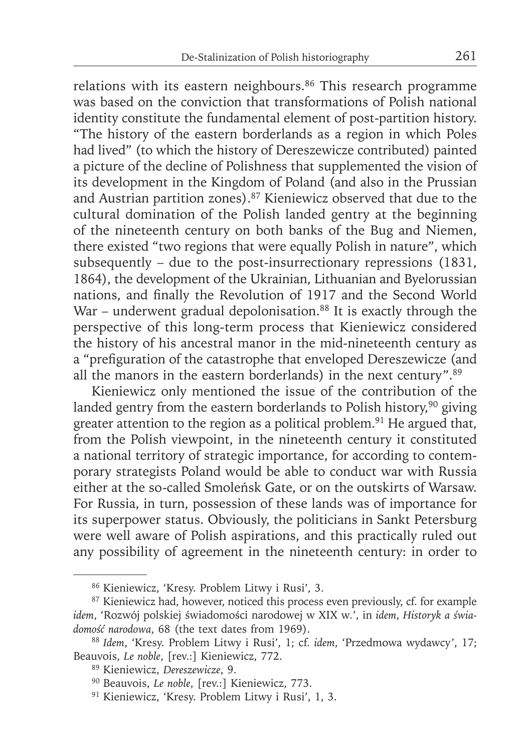relations with its eastern neighbours.<sup>86</sup> This research programme was based on the conviction that transformations of Polish national identity constitute the fundamental element of post-partition history. "The history of the eastern borderlands as a region in which Poles had lived" (to which the history of Dereszewicze contributed) painted a picture of the decline of Polishness that supplemented the vision of its development in the Kingdom of Poland (and also in the Prussian and Austrian partition zones).87 Kieniewicz observed that due to the cultural domination of the Polish landed gentry at the beginning of the nineteenth century on both banks of the Bug and Niemen, there existed "two regions that were equally Polish in nature", which subsequently – due to the post-insurrectionary repressions (1831, 1864), the development of the Ukrainian, Lithuanian and Byelorussian nations, and finally the Revolution of 1917 and the Second World War – underwent gradual depolonisation. $88$  It is exactly through the perspective of this long-term process that Kieniewicz considered the history of his ancestral manor in the mid-nineteenth century as a "prefiguration of the catastrophe that enveloped Dereszewicze (and all the manors in the eastern borderlands) in the next century".89

Kieniewicz only mentioned the issue of the contribution of the landed gentry from the eastern borderlands to Polish history, $90$  giving greater attention to the region as a political problem.<sup>91</sup> He argued that, from the Polish viewpoint, in the nineteenth century it constituted a national territory of strategic importance, for according to contemporary strategists Poland would be able to conduct war with Russia either at the so-called Smoleńsk Gate, or on the outskirts of Warsaw. For Russia, in turn, possession of these lands was of importance for its superpower status. Obviously, the politicians in Sankt Petersburg were well aware of Polish aspirations, and this practically ruled out any possibility of agreement in the nineteenth century: in order to

<sup>86</sup> Kieniewicz, 'Kresy. Problem Litwy i Rusi', 3.

<sup>&</sup>lt;sup>87</sup> Kieniewicz had, however, noticed this process even previously, cf. for example *idem*, 'Rozwój polskiej świadomości narodowej w XIX w*.*', in *idem*, *Historyk a świadomość narodowa*, 68 (the text dates from 1969).

<sup>88</sup>*Idem*, 'Kresy. Problem Litwy i Rusi', 1; cf. *idem*, 'Przedmowa wydawcy', 17; Beauvois, *Le noble*, [rev.:] Kieniewicz, 772.

<sup>89</sup> Kieniewicz, *Dereszewicze*, 9.

<sup>90</sup> Beauvois, *Le noble*, [rev.:] Kieniewicz, 773.

<sup>91</sup> Kieniewicz, 'Kresy. Problem Litwy i Rusi', 1, 3.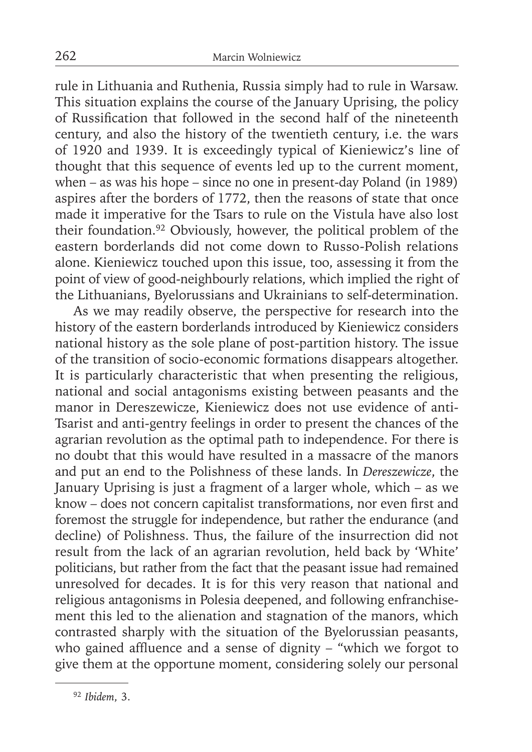rule in Lithuania and Ruthenia, Russia simply had to rule in Warsaw. This situation explains the course of the January Uprising, the policy of Russification that followed in the second half of the nineteenth century, and also the history of the twentieth century, i.e. the wars of 1920 and 1939. It is exceedingly typical of Kieniewicz's line of thought that this sequence of events led up to the current moment, when – as was his hope – since no one in present-day Poland (in 1989) aspires after the borders of 1772, then the reasons of state that once made it imperative for the Tsars to rule on the Vistula have also lost their foundation.92 Obviously, however, the political problem of the eastern borderlands did not come down to Russo-Polish relations alone. Kieniewicz touched upon this issue, too, assessing it from the point of view of good-neighbourly relations, which implied the right of the Lithuanians, Byelorussians and Ukrainians to self-determination.

As we may readily observe, the perspective for research into the history of the eastern borderlands introduced by Kieniewicz considers national history as the sole plane of post-partition history. The issue of the transition of socio-economic formations disappears altogether. It is particularly characteristic that when presenting the religious, national and social antagonisms existing between peasants and the manor in Dereszewicze, Kieniewicz does not use evidence of anti-Tsarist and anti-gentry feelings in order to present the chances of the agrarian revolution as the optimal path to independence. For there is no doubt that this would have resulted in a massacre of the manors and put an end to the Polishness of these lands. In *Dereszewicze*, the January Uprising is just a fragment of a larger whole, which – as we know – does not concern capitalist transformations, nor even first and foremost the struggle for independence, but rather the endurance (and decline) of Polishness. Thus, the failure of the insurrection did not result from the lack of an agrarian revolution, held back by 'White' politicians, but rather from the fact that the peasant issue had remained unresolved for decades. It is for this very reason that national and religious antagonisms in Polesia deepened, and following enfranchisement this led to the alienation and stagnation of the manors, which contrasted sharply with the situation of the Byelorussian peasants, who gained affluence and a sense of dignity – "which we forgot to give them at the opportune moment, considering solely our personal

<sup>92</sup> *Ibidem*, 3.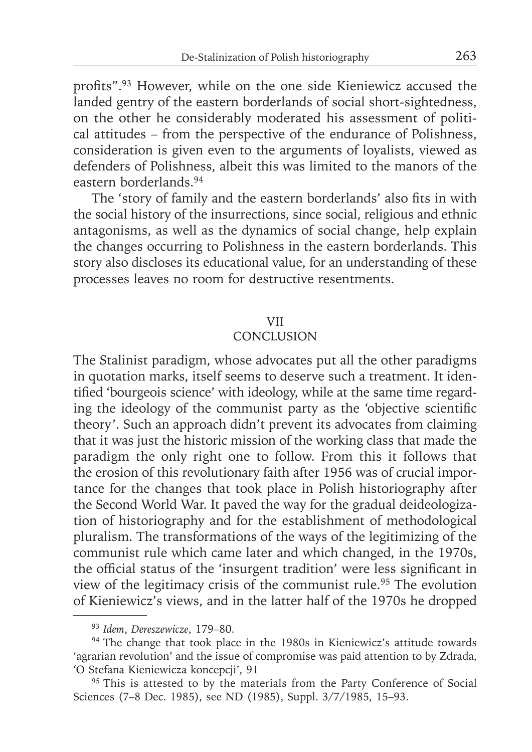profits".<sup>93</sup> However, while on the one side Kieniewicz accused the landed gentry of the eastern borderlands of social short-sightedness, on the other he considerably moderated his assessment of political attitudes – from the perspective of the endurance of Polishness, consideration is given even to the arguments of loyalists, viewed as defenders of Polishness, albeit this was limited to the manors of the eastern borderlands.94

The 'story of family and the eastern borderlands' also fits in with the social history of the insurrections, since social, religious and ethnic antagonisms, as well as the dynamics of social change, help explain the changes occurring to Polishness in the eastern borderlands. This story also discloses its educational value, for an understanding of these processes leaves no room for destructive resentments.

### VII

# **CONCLUSION**

The Stalinist paradigm, whose advocates put all the other paradigms in quotation marks, itself seems to deserve such a treatment. It identified 'bourgeois science' with ideology, while at the same time regarding the ideology of the communist party as the 'objective scientific theory'. Such an approach didn't prevent its advocates from claiming that it was just the historic mission of the working class that made the paradigm the only right one to follow. From this it follows that the erosion of this revolutionary faith after 1956 was of crucial importance for the changes that took place in Polish historiography after the Second World War. It paved the way for the gradual deideologization of historiography and for the establishment of methodological pluralism. The transformations of the ways of the legitimizing of the communist rule which came later and which changed, in the 1970s, the official status of the 'insurgent tradition' were less significant in view of the legitimacy crisis of the communist rule.<sup>95</sup> The evolution of Kieniewicz's views, and in the latter half of the 1970s he dropped

<sup>93</sup>*Idem*, *Dereszewicze*, 179–80.

<sup>&</sup>lt;sup>94</sup> The change that took place in the 1980s in Kieniewicz's attitude towards 'agrarian revolution' and the issue of compromise was paid attention to by Zdrada, 'O Stefana Kieniewicza koncepcji', 91

<sup>&</sup>lt;sup>95</sup> This is attested to by the materials from the Party Conference of Social Sciences (7–8 Dec. 1985), see ND (1985), Suppl. 3/7/1985, 15–93.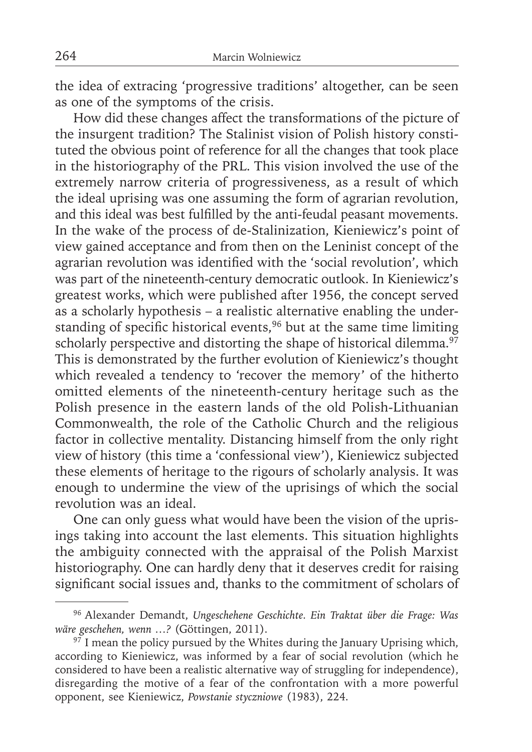the idea of extracing 'progressive traditions' altogether, can be seen as one of the symptoms of the crisis.

How did these changes affect the transformations of the picture of the insurgent tradition? The Stalinist vision of Polish history constituted the obvious point of reference for all the changes that took place in the historiography of the PRL. This vision involved the use of the extremely narrow criteria of progressiveness, as a result of which the ideal uprising was one assuming the form of agrarian revolution, and this ideal was best fulfilled by the anti-feudal peasant movements. In the wake of the process of de-Stalinization, Kieniewicz's point of view gained acceptance and from then on the Leninist concept of the agrarian revolution was identified with the 'social revolution', which was part of the nineteenth-century democratic outlook. In Kieniewicz's greatest works, which were published after 1956, the concept served as a scholarly hypothesis – a realistic alternative enabling the understanding of specific historical events,<sup>96</sup> but at the same time limiting scholarly perspective and distorting the shape of historical dilemma. $97$ This is demonstrated by the further evolution of Kieniewicz's thought which revealed a tendency to 'recover the memory' of the hitherto omitted elements of the nineteenth-century heritage such as the Polish presence in the eastern lands of the old Polish-Lithuanian Commonwealth, the role of the Catholic Church and the religious factor in collective mentality. Distancing himself from the only right view of history (this time a 'confessional view'), Kieniewicz subjected these elements of heritage to the rigours of scholarly analysis. It was enough to undermine the view of the uprisings of which the social revolution was an ideal.

One can only guess what would have been the vision of the uprisings taking into account the last elements. This situation highlights the ambiguity connected with the appraisal of the Polish Marxist historiography. One can hardly deny that it deserves credit for raising significant social issues and, thanks to the commitment of scholars of

<sup>96</sup> Alexander Demandt, *Ungeschehene Geschichte. Ein Traktat über die Frage: Was wäre geschehen, wenn …?* (Göttingen, 2011).

 $97$  I mean the policy pursued by the Whites during the January Uprising which, according to Kieniewicz, was informed by a fear of social revolution (which he considered to have been a realistic alternative way of struggling for independence), disregarding the motive of a fear of the confrontation with a more powerful opponent, see Kieniewicz, *Powstanie styczniowe* (1983), 224.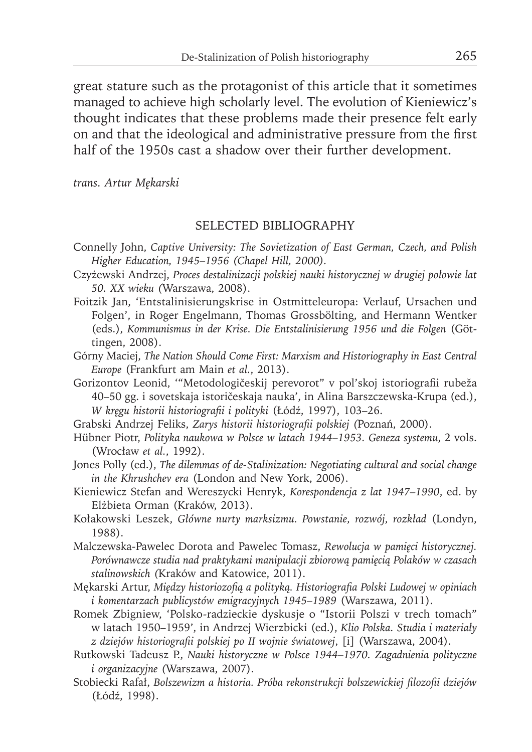great stature such as the protagonist of this article that it sometimes managed to achieve high scholarly level. The evolution of Kieniewicz's thought indicates that these problems made their presence felt early on and that the ideological and administrative pressure from the first half of the 1950s cast a shadow over their further development.

*trans. Artur Mękarski*

### SELECTED BIBLIOGRAPHY

- Connelly John, *Captive University: The Sovietization of East German, Czech, and Polish Higher Education, 1945–1956 (Chapel Hill, 2000).*
- Czyżewski Andrzej, *Proces destalinizacji polskiej nauki historycznej w drugiej połowie lat 50. XX wieku (*Warszawa, 2008).
- Foitzik Jan, 'Entstalinisierungskrise in Ostmitteleuropa: Verlauf, Ursachen und Folgen', in Roger Engelmann, Thomas Grossbölting, and Hermann Wentker (eds.), *Kommunismus in der Krise. Die Entstalinisierung 1956 und die Folgen* (Göttingen, 2008).
- Górny Maciej, *The Nation Should Come First: Marxism and Historiography in East Central Europe* (Frankfurt am Main *et al.*, 2013).
- Gorizontov Leonid, '"Metodologičeskij perevorot" v pol'skoj istoriografi i rubeža 40–50 gg. i sovetskaja istoričeskaja nauka', in Alina Barszczewska-Krupa (ed.), *W kręgu historii historiografi i i polityki* (Łódź, 1997), 103–26.
- Grabski Andrzej Feliks, *Zarys historii historiografi i polskiej (*Poznań, 2000).
- Hübner Piotr, *Polityka naukowa w Polsce w latach 1944–1953. Geneza systemu*, 2 vols. (Wrocław *et al.*, 1992).
- Jones Polly (ed.), *The dilemmas of de-Stalinization: Negotiating cultural and social change in the Khrushchev era* (London and New York, 2006).
- Kieniewicz Stefan and Wereszycki Henryk, *Korespondencja z lat 1947–1990*, ed. by Elżbieta Orman (Kraków, 2013).
- Kołakowski Leszek, *Główne nurty marksizmu. Powstanie, rozwój, rozkład* (Londyn, 1988).
- Malczewska-Pawelec Dorota and Pawelec Tomasz, *Rewolucja w pamięci historycznej. Porównawcze studia nad praktykami manipulacji zbiorową pamięcią Polaków w czasach stalinowskich (*Kraków and Katowice, 2011).
- Mękarski Artur, *Między historiozofią a polityką. Historiografi a Polski Ludowej w opiniach i komentarzach publicystów emigracyjnych 1945–1989* (Warszawa, 2011).
- Romek Zbigniew, 'Polsko-radzieckie dyskusje o "Istorii Polszi v trech tomach" w latach 1950–1959', in Andrzej Wierzbicki (ed.), *Klio Polska. Studia i materiały z dziejów historiografi i polskiej po II wojnie światowej*, [i] (Warszawa, 2004).
- Rutkowski Tadeusz P., *Nauki historyczne w Polsce 1944–1970. Zagadnienia polityczne i organizacyjne (*Warszawa, 2007).
- Stobiecki Rafał, *Bolszewizm a historia. Próba rekonstrukcji bolszewickiej filozofii dziejów* (Łódź, 1998).